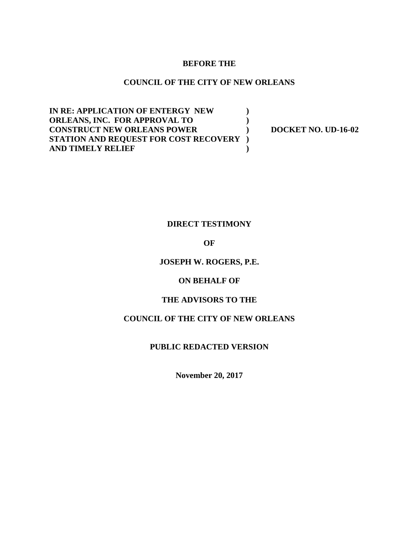#### **BEFORE THE**

#### **COUNCIL OF THE CITY OF NEW ORLEANS**

**IN RE: APPLICATION OF ENTERGY NEW ) ORLEANS, INC. FOR APPROVAL TO ) CONSTRUCT NEW ORLEANS POWER ) DOCKET NO. UD-16-02 STATION AND REQUEST FOR COST RECOVERY ) AND TIMELY RELIEF )**

### **DIRECT TESTIMONY**

#### **OF**

#### **JOSEPH W. ROGERS, P.E.**

#### **ON BEHALF OF**

#### **THE ADVISORS TO THE**

### **COUNCIL OF THE CITY OF NEW ORLEANS**

#### **PUBLIC REDACTED VERSION**

**November 20, 2017**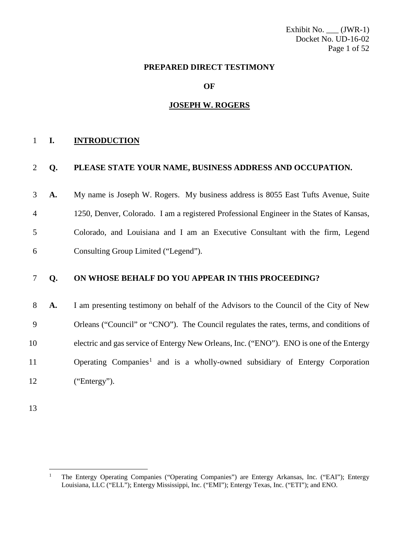Exhibit No.  $\underline{\hspace{1cm}}$  (JWR-1) Docket No. UD-16-02 Page 1 of 52

#### **PREPARED DIRECT TESTIMONY**

**OF**

#### **JOSEPH W. ROGERS**

#### **I. INTRODUCTION**

#### **Q. PLEASE STATE YOUR NAME, BUSINESS ADDRESS AND OCCUPATION.**

 **A.** My name is Joseph W. Rogers. My business address is 8055 East Tufts Avenue, Suite 1250, Denver, Colorado. I am a registered Professional Engineer in the States of Kansas, Colorado, and Louisiana and I am an Executive Consultant with the firm, Legend Consulting Group Limited ("Legend").

#### **Q. ON WHOSE BEHALF DO YOU APPEAR IN THIS PROCEEDING?**

 **A.** I am presenting testimony on behalf of the Advisors to the Council of the City of New Orleans ("Council" or "CNO"). The Council regulates the rates, terms, and conditions of electric and gas service of Entergy New Orleans, Inc. ("ENO"). ENO is one of the Entergy 1 Operating Companies<sup>1</sup> and is a wholly-owned subsidiary of Entergy Corporation ("Entergy").

<span id="page-1-0"></span> The Entergy Operating Companies ("Operating Companies") are Entergy Arkansas, Inc. ("EAI"); Entergy Louisiana, LLC ("ELL"); Entergy Mississippi, Inc. ("EMI"); Entergy Texas, Inc. ("ETI"); and ENO.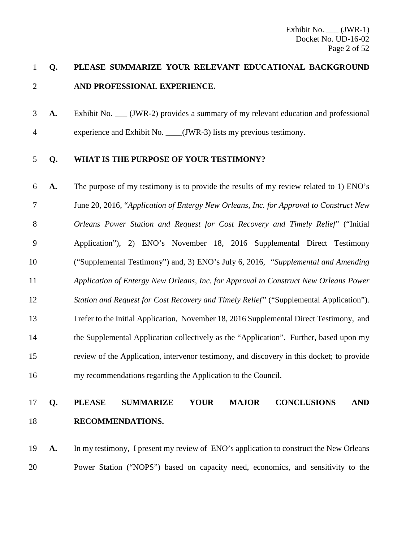### **Q. PLEASE SUMMARIZE YOUR RELEVANT EDUCATIONAL BACKGROUND AND PROFESSIONAL EXPERIENCE.**

**A.** Exhibit No. (JWR-2) provides a summary of my relevant education and professional 4 experience and Exhibit No. (JWR-3) lists my previous testimony.

#### **Q. WHAT IS THE PURPOSE OF YOUR TESTIMONY?**

 **A.** The purpose of my testimony is to provide the results of my review related to 1) ENO's June 20, 2016, "*Application of Entergy New Orleans, Inc. for Approval to Construct New Orleans Power Station and Request for Cost Recovery and Timely Relief*" ("Initial Application"), 2) ENO's November 18, 2016 Supplemental Direct Testimony ("Supplemental Testimony") and, 3) ENO's July 6, 2016, *"Supplemental and Amending Application of Entergy New Orleans, Inc. for Approval to Construct New Orleans Power Station and Request for Cost Recovery and Timely Relief"* ("Supplemental Application"). I refer to the Initial Application, November 18, 2016 Supplemental Direct Testimony, and the Supplemental Application collectively as the "Application". Further, based upon my review of the Application, intervenor testimony, and discovery in this docket; to provide my recommendations regarding the Application to the Council.

### **Q. PLEASE SUMMARIZE YOUR MAJOR CONCLUSIONS AND RECOMMENDATIONS.**

 **A.** In my testimony, I present my review of ENO's application to construct the New Orleans Power Station ("NOPS") based on capacity need, economics, and sensitivity to the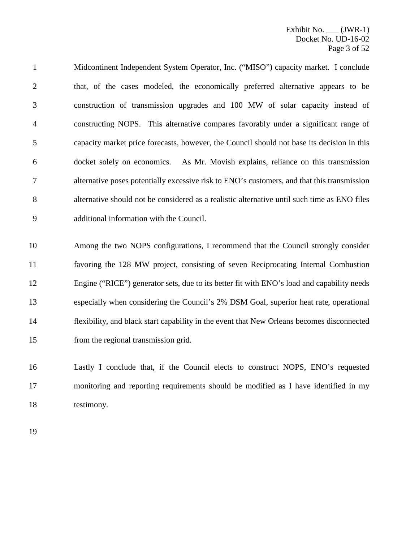Midcontinent Independent System Operator, Inc. ("MISO") capacity market. I conclude that, of the cases modeled, the economically preferred alternative appears to be construction of transmission upgrades and 100 MW of solar capacity instead of constructing NOPS. This alternative compares favorably under a significant range of capacity market price forecasts, however, the Council should not base its decision in this docket solely on economics. As Mr. Movish explains, reliance on this transmission alternative poses potentially excessive risk to ENO's customers, and that this transmission alternative should not be considered as a realistic alternative until such time as ENO files additional information with the Council.

 Among the two NOPS configurations, I recommend that the Council strongly consider favoring the 128 MW project, consisting of seven Reciprocating Internal Combustion Engine ("RICE") generator sets, due to its better fit with ENO's load and capability needs especially when considering the Council's 2% DSM Goal, superior heat rate, operational flexibility, and black start capability in the event that New Orleans becomes disconnected from the regional transmission grid.

 Lastly I conclude that, if the Council elects to construct NOPS, ENO's requested monitoring and reporting requirements should be modified as I have identified in my testimony.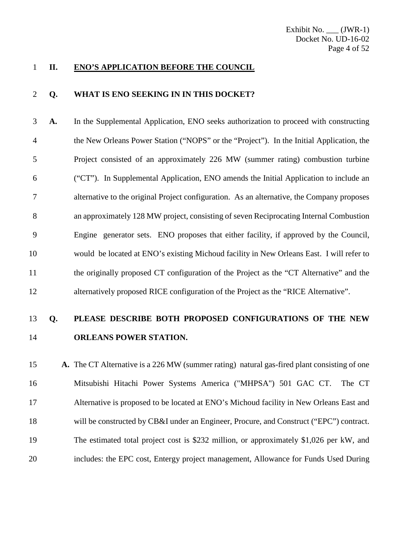#### **II. ENO'S APPLICATION BEFORE THE COUNCIL**

#### **Q. WHAT IS ENO SEEKING IN IN THIS DOCKET?**

 **A.** In the Supplemental Application, ENO seeks authorization to proceed with constructing the New Orleans Power Station ("NOPS" or the "Project"). In the Initial Application, the Project consisted of an approximately 226 MW (summer rating) combustion turbine ("CT"). In Supplemental Application, ENO amends the Initial Application to include an alternative to the original Project configuration. As an alternative, the Company proposes an approximately 128 MW project, consisting of seven Reciprocating Internal Combustion Engine generator sets. ENO proposes that either facility, if approved by the Council, would be located at ENO's existing Michoud facility in New Orleans East. I will refer to the originally proposed CT configuration of the Project as the "CT Alternative" and the alternatively proposed RICE configuration of the Project as the "RICE Alternative".

### **Q. PLEASE DESCRIBE BOTH PROPOSED CONFIGURATIONS OF THE NEW ORLEANS POWER STATION.**

 **A.** The CT Alternative is a 226 MW (summer rating) natural gas-fired plant consisting of one Mitsubishi Hitachi Power Systems America ("MHPSA") 501 GAC CT. The CT Alternative is proposed to be located at ENO's Michoud facility in New Orleans East and will be constructed by CB&I under an Engineer, Procure, and Construct ("EPC") contract. The estimated total project cost is \$232 million, or approximately \$1,026 per kW, and includes: the EPC cost, Entergy project management, Allowance for Funds Used During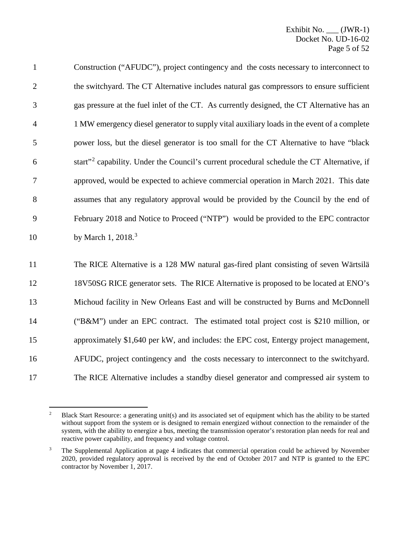Construction ("AFUDC"), project contingency and the costs necessary to interconnect to the switchyard. The CT Alternative includes natural gas compressors to ensure sufficient gas pressure at the fuel inlet of the CT. As currently designed, the CT Alternative has an 1 MW emergency diesel generator to supply vital auxiliary loads in the event of a complete power loss, but the diesel generator is too small for the CT Alternative to have "black 6 start"<sup>[2](#page-5-0)</sup> capability. Under the Council's current procedural schedule the CT Alternative, if approved, would be expected to achieve commercial operation in March 2021. This date assumes that any regulatory approval would be provided by the Council by the end of February 2018 and Notice to Proceed ("NTP") would be provided to the EPC contractor 10 by March 1, 2018.<sup>[3](#page-5-1)</sup>

 The RICE Alternative is a 128 MW natural gas-fired plant consisting of seven Wärtsilä 18V50SG RICE generator sets. The RICE Alternative is proposed to be located at ENO's Michoud facility in New Orleans East and will be constructed by Burns and McDonnell ("B&M") under an EPC contract. The estimated total project cost is \$210 million, or approximately \$1,640 per kW, and includes: the EPC cost, Entergy project management, AFUDC, project contingency and the costs necessary to interconnect to the switchyard. The RICE Alternative includes a standby diesel generator and compressed air system to

<span id="page-5-0"></span><sup>&</sup>lt;sup>2</sup> Black Start Resource: a generating unit(s) and its associated set of equipment which has the ability to be started without support from the system or is designed to remain energized without connection to the remainder of the system, with the ability to energize a bus, meeting the transmission operator's restoration plan needs for real and reactive power capability, and frequency and voltage control.

<span id="page-5-1"></span><sup>&</sup>lt;sup>3</sup> The Supplemental Application at page 4 indicates that commercial operation could be achieved by November 2020, provided regulatory approval is received by the end of October 2017 and NTP is granted to the EPC contractor by November 1, 2017.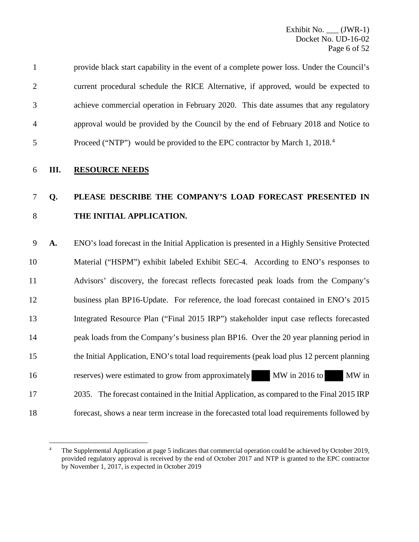| 5              | Proceed ("NTP") would be provided to the EPC contractor by March 1, 2018. <sup>4</sup>    |
|----------------|-------------------------------------------------------------------------------------------|
| 4              | approval would be provided by the Council by the end of February 2018 and Notice to       |
| 3              | achieve commercial operation in February 2020. This date assumes that any regulatory      |
| $\overline{2}$ | current procedural schedule the RICE Alternative, if approved, would be expected to       |
| $\mathbf{1}$   | provide black start capability in the event of a complete power loss. Under the Council's |

### 7 **Q. PLEASE DESCRIBE THE COMPANY'S LOAD FORECAST PRESENTED IN**  8 **THE INITIAL APPLICATION.**

9 **A.** ENO's load forecast in the Initial Application is presented in a Highly Sensitive Protected 10 Material ("HSPM") exhibit labeled Exhibit SEC-4. According to ENO's responses to 11 Advisors' discovery, the forecast reflects forecasted peak loads from the Company's 12 business plan BP16-Update. For reference, the load forecast contained in ENO's 2015 13 Integrated Resource Plan ("Final 2015 IRP") stakeholder input case reflects forecasted 14 peak loads from the Company's business plan BP16. Over the 20 year planning period in 15 the Initial Application, ENO's total load requirements (peak load plus 12 percent planning 16 reserves) were estimated to grow from approximately MW in 2016 to MW in 17 2035. The forecast contained in the Initial Application, as compared to the Final 2015 IRP 18 forecast, shows a near term increase in the forecasted total load requirements followed by

<span id="page-6-0"></span> $\overline{a}$ 4 The Supplemental Application at page 5 indicates that commercial operation could be achieved by October 2019, provided regulatory approval is received by the end of October 2017 and NTP is granted to the EPC contractor by November 1, 2017, is expected in October 2019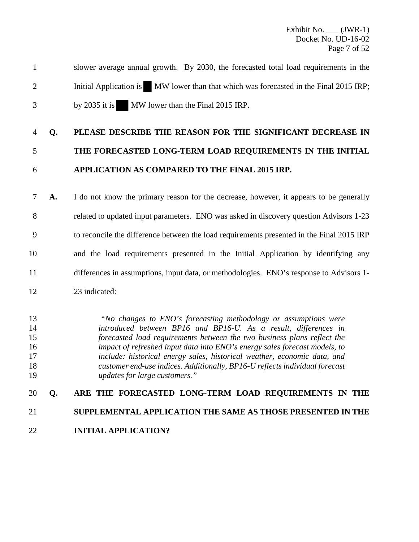1 slower average annual growth. By 2030, the forecasted total load requirements in the 2 Initial Application is MW lower than that which was forecasted in the Final 2015 IRP; 3 by 2035 it is MW lower than the Final 2015 IRP.

### 4 **Q. PLEASE DESCRIBE THE REASON FOR THE SIGNIFICANT DECREASE IN**

## 5 **THE FORECASTED LONG-TERM LOAD REQUIREMENTS IN THE INITIAL** 6 **APPLICATION AS COMPARED TO THE FINAL 2015 IRP.**

7 **A.** I do not know the primary reason for the decrease, however, it appears to be generally 8 related to updated input parameters. ENO was asked in discovery question Advisors 1-23 9 to reconcile the difference between the load requirements presented in the Final 2015 IRP 10 and the load requirements presented in the Initial Application by identifying any 11 differences in assumptions, input data, or methodologies. ENO's response to Advisors 1- 12 23 indicated:

*"No changes to ENO's forecasting methodology or assumptions were introduced between BP16 and BP16-U. As a result, differences in forecasted load requirements between the two business plans reflect the impact of refreshed input data into ENO's energy sales forecast models, to include: historical energy sales, historical weather, economic data, and customer end-use indices. Additionally, BP16-U reflects individual forecast updates for large customers."*

## 20 **Q. ARE THE FORECASTED LONG-TERM LOAD REQUIREMENTS IN THE**  21 **SUPPLEMENTAL APPLICATION THE SAME AS THOSE PRESENTED IN THE**

22 **INITIAL APPLICATION?**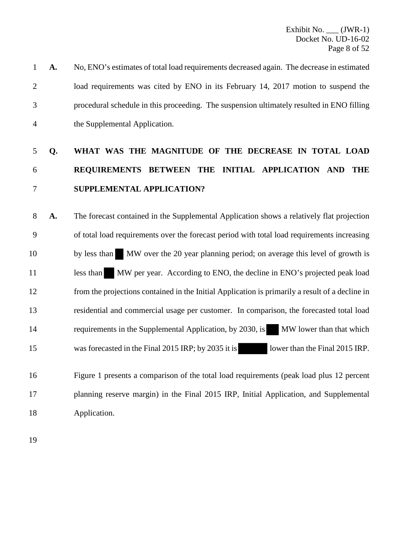1 **A.** No, ENO's estimates of total load requirements decreased again. The decrease in estimated 2 load requirements was cited by ENO in its February 14, 2017 motion to suspend the 3 procedural schedule in this proceeding. The suspension ultimately resulted in ENO filling 4 the Supplemental Application.

## 5 **Q. WHAT WAS THE MAGNITUDE OF THE DECREASE IN TOTAL LOAD**  6 **REQUIREMENTS BETWEEN THE INITIAL APPLICATION AND THE**  7 **SUPPLEMENTAL APPLICATION?**

8 **A.** The forecast contained in the Supplemental Application shows a relatively flat projection 9 of total load requirements over the forecast period with total load requirements increasing 10 by less than MW over the 20 year planning period; on average this level of growth is 11 less than MW per year. According to ENO, the decline in ENO's projected peak load 12 from the projections contained in the Initial Application is primarily a result of a decline in 13 residential and commercial usage per customer. In comparison, the forecasted total load 14 requirements in the Supplemental Application, by 2030, is MW lower than that which 15 was forecasted in the Final 2015 IRP; by 2035 it is lower than the Final 2015 IRP.

16 Figure 1 presents a comparison of the total load requirements (peak load plus 12 percent 17 planning reserve margin) in the Final 2015 IRP, Initial Application, and Supplemental 18 Application.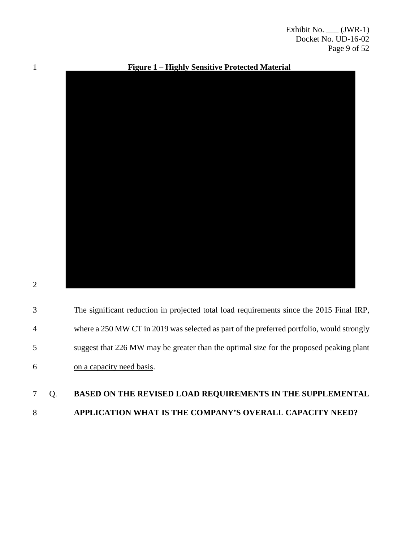

|   | The significant reduction in projected total load requirements since the 2015 Final IRP,  |
|---|-------------------------------------------------------------------------------------------|
|   | where a 250 MW CT in 2019 was selected as part of the preferred portfolio, would strongly |
| 5 | suggest that 226 MW may be greater than the optimal size for the proposed peaking plant   |
| 6 | on a capacity need basis.                                                                 |
|   |                                                                                           |

### 7 Q. **BASED ON THE REVISED LOAD REQUIREMENTS IN THE SUPPLEMENTAL**  8 **APPLICATION WHAT IS THE COMPANY'S OVERALL CAPACITY NEED?**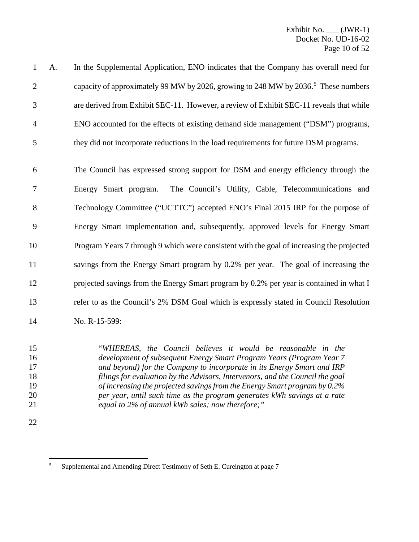| $\mathbf{1}$   | A. | In the Supplemental Application, ENO indicates that the Company has overall need for           |
|----------------|----|------------------------------------------------------------------------------------------------|
| $\overline{2}$ |    | capacity of approximately 99 MW by 2026, growing to 248 MW by 2036. <sup>5</sup> These numbers |
| 3              |    | are derived from Exhibit SEC-11. However, a review of Exhibit SEC-11 reveals that while        |
| $\overline{4}$ |    | ENO accounted for the effects of existing demand side management ("DSM") programs,             |
| 5              |    | they did not incorporate reductions in the load requirements for future DSM programs.          |
| 6              |    | The Council has expressed strong support for DSM and energy efficiency through the             |
| 7              |    | Energy Smart program. The Council's Utility, Cable, Telecommunications and                     |
| 8              |    | Technology Committee ("UCTTC") accepted ENO's Final 2015 IRP for the purpose of                |
| 9              |    | Energy Smart implementation and, subsequently, approved levels for Energy Smart                |
| 10             |    | Program Years 7 through 9 which were consistent with the goal of increasing the projected      |
| 11             |    | savings from the Energy Smart program by 0.2% per year. The goal of increasing the             |
| 12             |    | projected savings from the Energy Smart program by 0.2% per year is contained in what I        |
| 13             |    | refer to as the Council's 2% DSM Goal which is expressly stated in Council Resolution          |
| 14             |    | No. R-15-599:                                                                                  |
|                |    |                                                                                                |

 "*WHEREAS, the Council believes it would be reasonable in the development of subsequent Energy Smart Program Years (Program Year 7 and beyond) for the Company to incorporate in its Energy Smart and IRP filings for evaluation by the Advisors, Intervenors, and the Council the goal of increasing the projected savings from the Energy Smart program by 0.2% per year, until such time as the program generates kWh savings at a rate equal to 2% of annual kWh sales; now therefore;"*

<span id="page-10-0"></span>Supplemental and Amending Direct Testimony of Seth E. Cureington at page 7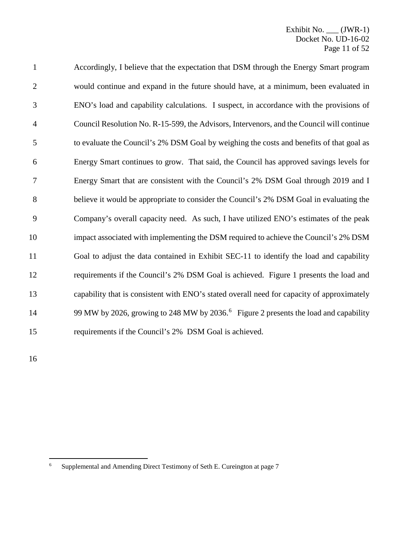| $\mathbf{1}$   | Accordingly, I believe that the expectation that DSM through the Energy Smart program            |
|----------------|--------------------------------------------------------------------------------------------------|
| $\overline{2}$ | would continue and expand in the future should have, at a minimum, been evaluated in             |
| 3              | ENO's load and capability calculations. I suspect, in accordance with the provisions of          |
| $\overline{4}$ | Council Resolution No. R-15-599, the Advisors, Intervenors, and the Council will continue        |
| 5              | to evaluate the Council's 2% DSM Goal by weighing the costs and benefits of that goal as         |
| 6              | Energy Smart continues to grow. That said, the Council has approved savings levels for           |
| 7              | Energy Smart that are consistent with the Council's 2% DSM Goal through 2019 and I               |
| $8\,$          | believe it would be appropriate to consider the Council's 2% DSM Goal in evaluating the          |
| 9              | Company's overall capacity need. As such, I have utilized ENO's estimates of the peak            |
| 10             | impact associated with implementing the DSM required to achieve the Council's 2% DSM             |
| 11             | Goal to adjust the data contained in Exhibit SEC-11 to identify the load and capability          |
| 12             | requirements if the Council's 2% DSM Goal is achieved. Figure 1 presents the load and            |
| 13             | capability that is consistent with ENO's stated overall need for capacity of approximately       |
| 14             | 99 MW by 2026, growing to 248 MW by 2036. <sup>6</sup> Figure 2 presents the load and capability |
| 15             | requirements if the Council's 2% DSM Goal is achieved.                                           |
|                |                                                                                                  |

<span id="page-11-0"></span>Supplemental and Amending Direct Testimony of Seth E. Cureington at page 7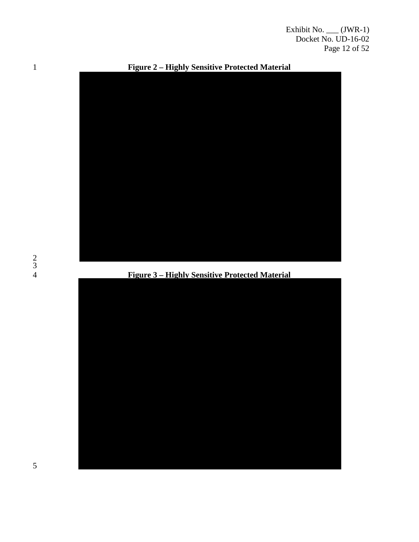Exhibit No. \_\_\_ (JWR-1) Docket No. UD-16-02 Page 12 of 52



**Figure 2 – Highly Sensitive Protected Material**

**Figure 3 – Highly Sensitive Protected Material**

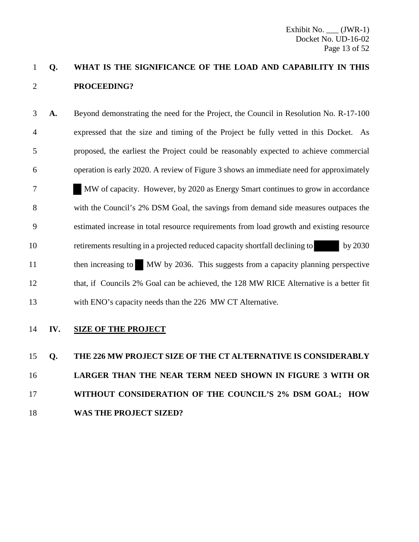### 1 **Q. WHAT IS THE SIGNIFICANCE OF THE LOAD AND CAPABILITY IN THIS**  2 **PROCEEDING?**

3 **A.** Beyond demonstrating the need for the Project, the Council in Resolution No. R-17-100 4 expressed that the size and timing of the Project be fully vetted in this Docket. As 5 proposed, the earliest the Project could be reasonably expected to achieve commercial 6 operation is early 2020. A review of Figure 3 shows an immediate need for approximately 7 MW of capacity. However, by 2020 as Energy Smart continues to grow in accordance 8 with the Council's 2% DSM Goal, the savings from demand side measures outpaces the 9 estimated increase in total resource requirements from load growth and existing resource 10 retirements resulting in a projected reduced capacity shortfall declining to by 2030 11 then increasing to MW by 2036. This suggests from a capacity planning perspective 12 that, if Councils 2% Goal can be achieved, the 128 MW RICE Alternative is a better fit 13 with ENO's capacity needs than the 226 MW CT Alternative.

### 14 **IV. SIZE OF THE PROJECT**

## 15 **Q. THE 226 MW PROJECT SIZE OF THE CT ALTERNATIVE IS CONSIDERABLY**  16 **LARGER THAN THE NEAR TERM NEED SHOWN IN FIGURE 3 WITH OR**  17 **WITHOUT CONSIDERATION OF THE COUNCIL'S 2% DSM GOAL; HOW**  18 **WAS THE PROJECT SIZED?**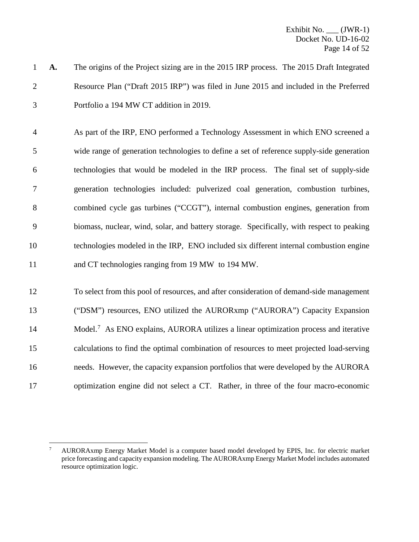- **A.** The origins of the Project sizing are in the 2015 IRP process. The 2015 Draft Integrated Resource Plan ("Draft 2015 IRP") was filed in June 2015 and included in the Preferred Portfolio a 194 MW CT addition in 2019.
- As part of the IRP, ENO performed a Technology Assessment in which ENO screened a wide range of generation technologies to define a set of reference supply-side generation technologies that would be modeled in the IRP process. The final set of supply-side generation technologies included: pulverized coal generation, combustion turbines, combined cycle gas turbines ("CCGT"), internal combustion engines, generation from biomass, nuclear, wind, solar, and battery storage. Specifically, with respect to peaking technologies modeled in the IRP, ENO included six different internal combustion engine and CT technologies ranging from 19 MW to 194 MW.
- To select from this pool of resources, and after consideration of demand-side management ("DSM") resources, ENO utilized the AURORxmp ("AURORA") Capacity Expansion 14 Model.<sup>[7](#page-14-0)</sup> As ENO explains, AURORA utilizes a linear optimization process and iterative calculations to find the optimal combination of resources to meet projected load-serving needs. However, the capacity expansion portfolios that were developed by the AURORA optimization engine did not select a CT. Rather, in three of the four macro-economic

<span id="page-14-0"></span> AURORAxmp Energy Market Model is a computer based model developed by EPIS, Inc. for electric market price forecasting and capacity expansion modeling. The AURORAxmp Energy Market Model includes automated resource optimization logic.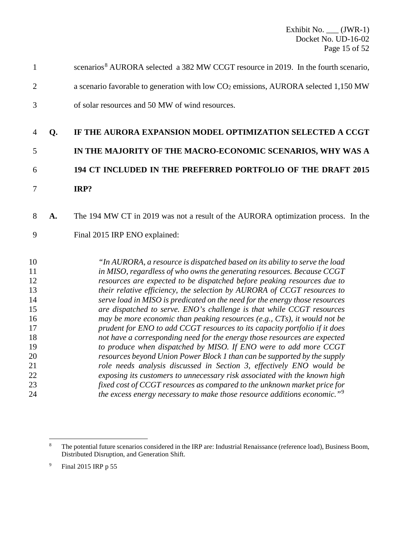|               | scenarios <sup>8</sup> AURORA selected a 382 MW CCGT resource in 2019. In the fourth scenario, |
|---------------|------------------------------------------------------------------------------------------------|
| 2             | a scenario favorable to generation with low $CO2$ emissions, AURORA selected 1,150 MW          |
| $\mathcal{R}$ | of solar resources and 50 MW of wind resources.                                                |

### **Q. IF THE AURORA EXPANSION MODEL OPTIMIZATION SELECTED A CCGT**

# **IN THE MAJORITY OF THE MACRO-ECONOMIC SCENARIOS, WHY WAS A 194 CT INCLUDED IN THE PREFERRED PORTFOLIO OF THE DRAFT 2015**

**IRP?**

### **A.** The 194 MW CT in 2019 was not a result of the AURORA optimization process. In the

Final 2015 IRP ENO explained:

 *"In AURORA, a resource is dispatched based on its ability to serve the load in MISO, regardless of who owns the generating resources. Because CCGT resources are expected to be dispatched before peaking resources due to their relative efficiency, the selection by AURORA of CCGT resources to serve load in MISO is predicated on the need for the energy those resources are dispatched to serve. ENO's challenge is that while CCGT resources may be more economic than peaking resources (e.g., CTs), it would not be prudent for ENO to add CCGT resources to its capacity portfolio if it does not have a corresponding need for the energy those resources are expected to produce when dispatched by MISO. If ENO were to add more CCGT resources beyond Union Power Block 1 than can be supported by the supply role needs analysis discussed in Section 3, effectively ENO would be exposing its customers to unnecessary risk associated with the known high fixed cost of CCGT resources as compared to the unknown market price for the excess energy necessary to make those resource additions economic."*[9](#page-15-1)

<span id="page-15-0"></span> The potential future scenarios considered in the IRP are: Industrial Renaissance (reference load), Business Boom, Distributed Disruption, and Generation Shift.

<span id="page-15-1"></span>Final 2015 IRP p 55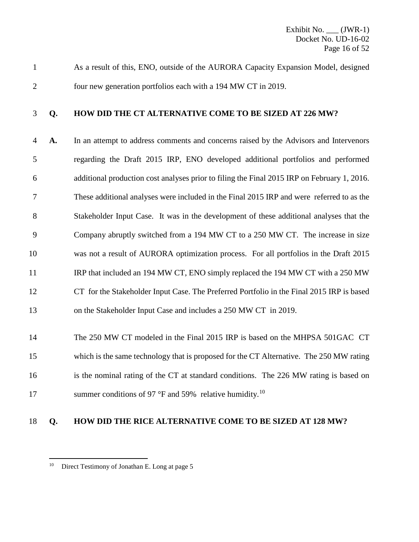As a result of this, ENO, outside of the AURORA Capacity Expansion Model, designed four new generation portfolios each with a 194 MW CT in 2019.

### **Q. HOW DID THE CT ALTERNATIVE COME TO BE SIZED AT 226 MW?**

 **A.** In an attempt to address comments and concerns raised by the Advisors and Intervenors regarding the Draft 2015 IRP, ENO developed additional portfolios and performed additional production cost analyses prior to filing the Final 2015 IRP on February 1, 2016. These additional analyses were included in the Final 2015 IRP and were referred to as the Stakeholder Input Case. It was in the development of these additional analyses that the Company abruptly switched from a 194 MW CT to a 250 MW CT. The increase in size was not a result of AURORA optimization process. For all portfolios in the Draft 2015 11 IRP that included an 194 MW CT, ENO simply replaced the 194 MW CT with a 250 MW CT for the Stakeholder Input Case. The Preferred Portfolio in the Final 2015 IRP is based on the Stakeholder Input Case and includes a 250 MW CT in 2019.

 The 250 MW CT modeled in the Final 2015 IRP is based on the MHPSA 501GAC CT which is the same technology that is proposed for the CT Alternative. The 250 MW rating 16 is the nominal rating of the CT at standard conditions. The 226 MW rating is based on 17 summer conditions of 97 °F and 59% relative humidity.<sup>[10](#page-16-0)</sup>

### **Q. HOW DID THE RICE ALTERNATIVE COME TO BE SIZED AT 128 MW?**

<span id="page-16-0"></span><sup>&</sup>lt;sup>10</sup> Direct Testimony of Jonathan E. Long at page 5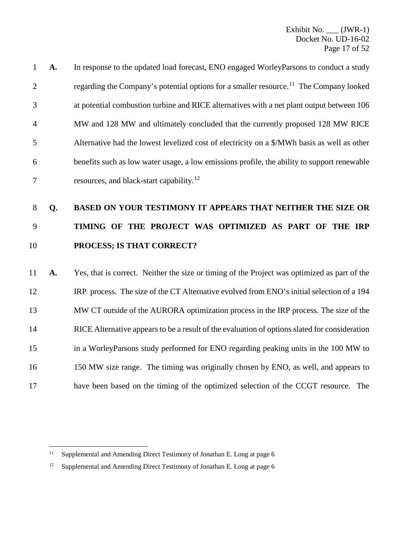| $\overline{1}$ | A. | In response to the updated load forecast, ENO engaged WorleyParsons to conduct a study             |
|----------------|----|----------------------------------------------------------------------------------------------------|
| 2              |    | regarding the Company's potential options for a smaller resource. <sup>11</sup> The Company looked |
| 3              |    | at potential combustion turbine and RICE alternatives with a net plant output between 106          |
| $\overline{4}$ |    | MW and 128 MW and ultimately concluded that the currently proposed 128 MW RICE                     |
| 5              |    | Alternative had the lowest levelized cost of electricity on a \$/MWh basis as well as other        |
| 6              |    | benefits such as low water usage, a low emissions profile, the ability to support renewable        |
| 7              |    | resources, and black-start capability. <sup>12</sup>                                               |

## **Q. BASED ON YOUR TESTIMONY IT APPEARS THAT NEITHER THE SIZE OR TIMING OF THE PROJECT WAS OPTIMIZED AS PART OF THE IRP PROCESS; IS THAT CORRECT?**

 **A.** Yes, that is correct. Neither the size or timing of the Project was optimized as part of the IRP process. The size of the CT Alternative evolved from ENO's initial selection of a 194 MW CT outside of the AURORA optimization process in the IRP process. The size of the RICE Alternative appears to be a result of the evaluation of options slated for consideration in a WorleyParsons study performed for ENO regarding peaking units in the 100 MW to 150 MW size range. The timing was originally chosen by ENO, as well, and appears to have been based on the timing of the optimized selection of the CCGT resource. The

<span id="page-17-0"></span><sup>&</sup>lt;sup>11</sup> Supplemental and Amending Direct Testimony of Jonathan E. Long at page 6

<span id="page-17-1"></span><sup>&</sup>lt;sup>12</sup> Supplemental and Amending Direct Testimony of Jonathan E. Long at page 6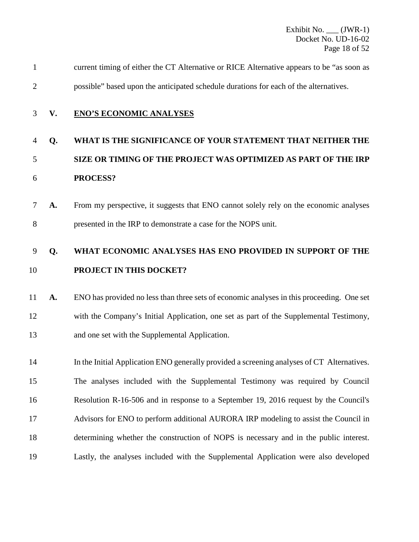| 1       |    | current timing of either the CT Alternative or RICE Alternative appears to be "as soon as                                                              |
|---------|----|--------------------------------------------------------------------------------------------------------------------------------------------------------|
| 2       |    | possible" based upon the anticipated schedule durations for each of the alternatives.                                                                  |
| 3       | V. | <b>ENO'S ECONOMIC ANALYSES</b>                                                                                                                         |
| 4       | Q. | WHAT IS THE SIGNIFICANCE OF YOUR STATEMENT THAT NEITHER THE                                                                                            |
| 5       |    | SIZE OR TIMING OF THE PROJECT WAS OPTIMIZED AS PART OF THE IRP                                                                                         |
| 6       |    | PROCESS?                                                                                                                                               |
| 8       | A. | From my perspective, it suggests that ENO cannot solely rely on the economic analyses<br>presented in the IRP to demonstrate a case for the NOPS unit. |
| 9<br>10 | Q. | WHAT ECONOMIC ANALYSES HAS ENO PROVIDED IN SUPPORT OF THE<br><b>PROJECT IN THIS DOCKET?</b>                                                            |
|         |    |                                                                                                                                                        |

 **A.** ENO has provided no less than three sets of economic analyses in this proceeding. One set with the Company's Initial Application, one set as part of the Supplemental Testimony, and one set with the Supplemental Application.

 In the Initial Application ENO generally provided a screening analyses of CT Alternatives. The analyses included with the Supplemental Testimony was required by Council Resolution R-16-506 and in response to a September 19, 2016 request by the Council's Advisors for ENO to perform additional AURORA IRP modeling to assist the Council in determining whether the construction of NOPS is necessary and in the public interest. Lastly, the analyses included with the Supplemental Application were also developed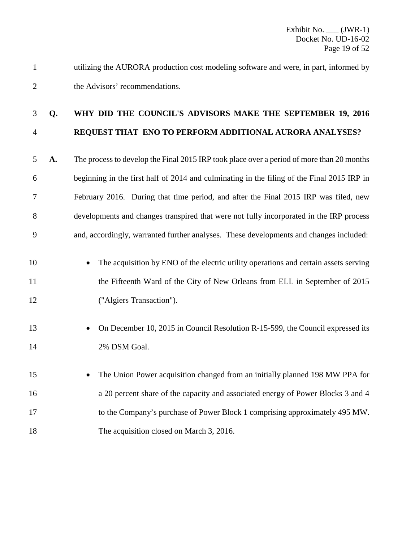utilizing the AURORA production cost modeling software and were, in part, informed by the Advisors' recommendations.

### **Q. WHY DID THE COUNCIL'S ADVISORS MAKE THE SEPTEMBER 19, 2016 REQUEST THAT ENO TO PERFORM ADDITIONAL AURORA ANALYSES?**

 **A.** The process to develop the Final 2015 IRP took place over a period of more than 20 months beginning in the first half of 2014 and culminating in the filing of the Final 2015 IRP in February 2016. During that time period, and after the Final 2015 IRP was filed, new developments and changes transpired that were not fully incorporated in the IRP process and, accordingly, warranted further analyses. These developments and changes included:

- The acquisition by ENO of the electric utility operations and certain assets serving 11 the Fifteenth Ward of the City of New Orleans from ELL in September of 2015 ("Algiers Transaction").
- On December 10, 2015 in Council Resolution R-15-599, the Council expressed its 2% DSM Goal.
- The Union Power acquisition changed from an initially planned 198 MW PPA for a 20 percent share of the capacity and associated energy of Power Blocks 3 and 4 to the Company's purchase of Power Block 1 comprising approximately 495 MW. 18 The acquisition closed on March 3, 2016.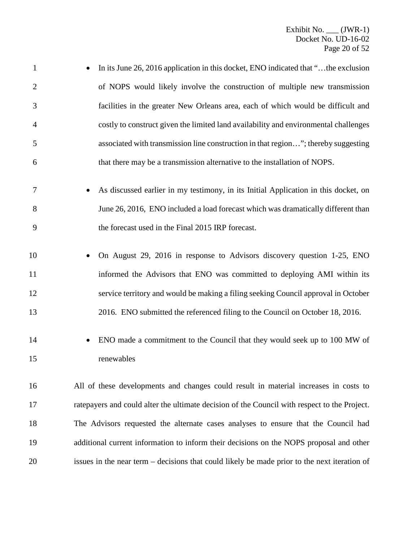| $\mathbf{1}$   | In its June 26, 2016 application in this docket, ENO indicated that "the exclusion           |
|----------------|----------------------------------------------------------------------------------------------|
| $\overline{2}$ | of NOPS would likely involve the construction of multiple new transmission                   |
| 3              | facilities in the greater New Orleans area, each of which would be difficult and             |
| 4              | costly to construct given the limited land availability and environmental challenges         |
| 5              | associated with transmission line construction in that region"; thereby suggesting           |
| 6              | that there may be a transmission alternative to the installation of NOPS.                    |
| 7              | As discussed earlier in my testimony, in its Initial Application in this docket, on          |
| 8              | June 26, 2016, ENO included a load forecast which was dramatically different than            |
| 9              | the forecast used in the Final 2015 IRP forecast.                                            |
| 10             | On August 29, 2016 in response to Advisors discovery question 1-25, ENO                      |
| 11             | informed the Advisors that ENO was committed to deploying AMI within its                     |
| 12             | service territory and would be making a filing seeking Council approval in October           |
| 13             | 2016. ENO submitted the referenced filing to the Council on October 18, 2016.                |
| 14             | ENO made a commitment to the Council that they would seek up to 100 MW of                    |
| 15             | renewables                                                                                   |
| 16             | All of these developments and changes could result in material increases in costs to         |
| 17             | ratepayers and could alter the ultimate decision of the Council with respect to the Project. |
| 18             | The Advisors requested the alternate cases analyses to ensure that the Council had           |
| 19             | additional current information to inform their decisions on the NOPS proposal and other      |
|                |                                                                                              |

issues in the near term – decisions that could likely be made prior to the next iteration of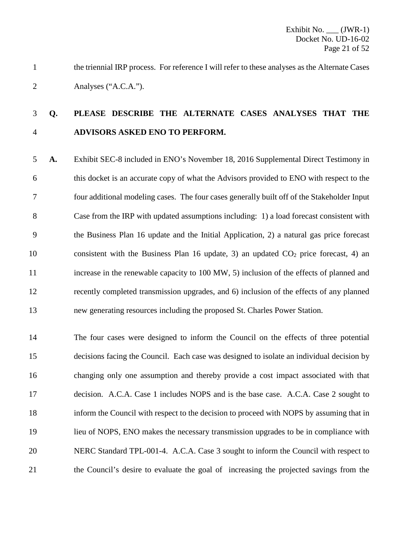the triennial IRP process. For reference I will refer to these analyses as the Alternate Cases Analyses ("A.C.A.").

### **Q. PLEASE DESCRIBE THE ALTERNATE CASES ANALYSES THAT THE ADVISORS ASKED ENO TO PERFORM.**

 **A.** Exhibit SEC-8 included in ENO's November 18, 2016 Supplemental Direct Testimony in this docket is an accurate copy of what the Advisors provided to ENO with respect to the four additional modeling cases. The four cases generally built off of the Stakeholder Input Case from the IRP with updated assumptions including: 1) a load forecast consistent with the Business Plan 16 update and the Initial Application, 2) a natural gas price forecast 10 consistent with the Business Plan 16 update, 3) an updated  $CO<sub>2</sub>$  price forecast, 4) an increase in the renewable capacity to 100 MW, 5) inclusion of the effects of planned and recently completed transmission upgrades, and 6) inclusion of the effects of any planned new generating resources including the proposed St. Charles Power Station.

 The four cases were designed to inform the Council on the effects of three potential decisions facing the Council. Each case was designed to isolate an individual decision by changing only one assumption and thereby provide a cost impact associated with that decision. A.C.A. Case 1 includes NOPS and is the base case. A.C.A. Case 2 sought to inform the Council with respect to the decision to proceed with NOPS by assuming that in lieu of NOPS, ENO makes the necessary transmission upgrades to be in compliance with NERC Standard TPL-001-4. A.C.A. Case 3 sought to inform the Council with respect to the Council's desire to evaluate the goal of increasing the projected savings from the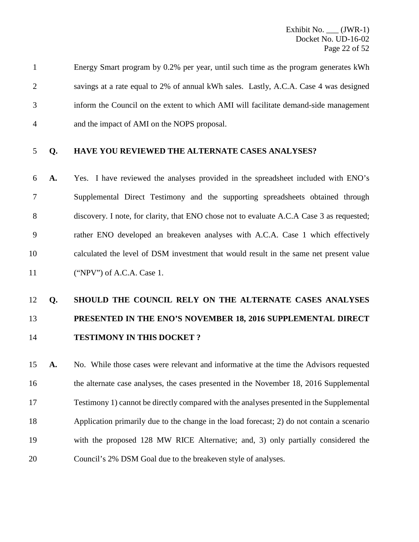Energy Smart program by 0.2% per year, until such time as the program generates kWh savings at a rate equal to 2% of annual kWh sales. Lastly, A.C.A. Case 4 was designed inform the Council on the extent to which AMI will facilitate demand-side management and the impact of AMI on the NOPS proposal.

#### **Q. HAVE YOU REVIEWED THE ALTERNATE CASES ANALYSES?**

 **A.** Yes. I have reviewed the analyses provided in the spreadsheet included with ENO's Supplemental Direct Testimony and the supporting spreadsheets obtained through discovery. I note, for clarity, that ENO chose not to evaluate A.C.A Case 3 as requested; rather ENO developed an breakeven analyses with A.C.A. Case 1 which effectively calculated the level of DSM investment that would result in the same net present value ("NPV") of A.C.A. Case 1.

## **Q. SHOULD THE COUNCIL RELY ON THE ALTERNATE CASES ANALYSES PRESENTED IN THE ENO'S NOVEMBER 18, 2016 SUPPLEMENTAL DIRECT TESTIMONY IN THIS DOCKET ?**

 **A.** No. While those cases were relevant and informative at the time the Advisors requested the alternate case analyses, the cases presented in the November 18, 2016 Supplemental Testimony 1) cannot be directly compared with the analyses presented in the Supplemental Application primarily due to the change in the load forecast; 2) do not contain a scenario with the proposed 128 MW RICE Alternative; and, 3) only partially considered the Council's 2% DSM Goal due to the breakeven style of analyses.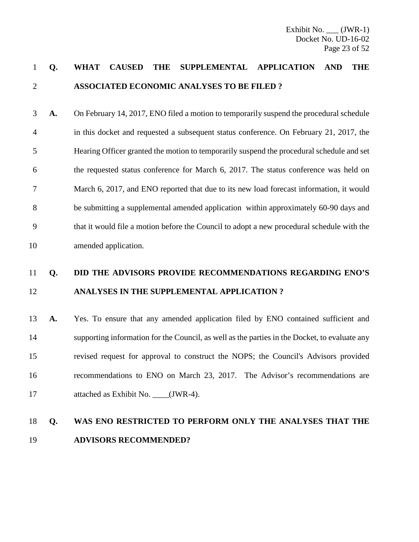### **Q. WHAT CAUSED THE SUPPLEMENTAL APPLICATION AND THE ASSOCIATED ECONOMIC ANALYSES TO BE FILED ?**

 **A.** On February 14, 2017, ENO filed a motion to temporarily suspend the procedural schedule in this docket and requested a subsequent status conference. On February 21, 2017, the Hearing Officer granted the motion to temporarily suspend the procedural schedule and set the requested status conference for March 6, 2017. The status conference was held on March 6, 2017, and ENO reported that due to its new load forecast information, it would be submitting a supplemental amended application within approximately 60-90 days and that it would file a motion before the Council to adopt a new procedural schedule with the amended application.

### **Q. DID THE ADVISORS PROVIDE RECOMMENDATIONS REGARDING ENO'S ANALYSES IN THE SUPPLEMENTAL APPLICATION ?**

 **A.** Yes. To ensure that any amended application filed by ENO contained sufficient and supporting information for the Council, as well as the parties in the Docket, to evaluate any revised request for approval to construct the NOPS; the Council's Advisors provided recommendations to ENO on March 23, 2017. The Advisor's recommendations are 17 attached as Exhibit No. \_\_\_\_(JWR-4).

### **Q. WAS ENO RESTRICTED TO PERFORM ONLY THE ANALYSES THAT THE ADVISORS RECOMMENDED?**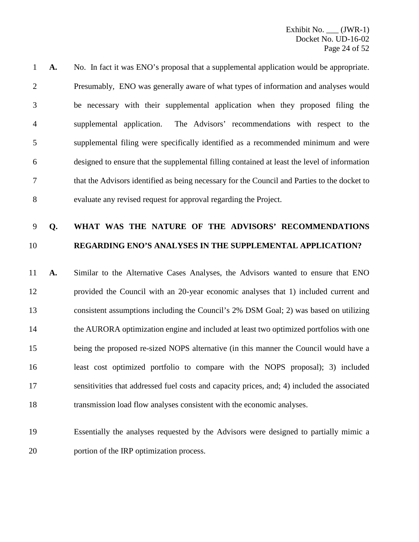**A.** No. In fact it was ENO's proposal that a supplemental application would be appropriate. Presumably, ENO was generally aware of what types of information and analyses would be necessary with their supplemental application when they proposed filing the supplemental application. The Advisors' recommendations with respect to the supplemental filing were specifically identified as a recommended minimum and were designed to ensure that the supplemental filling contained at least the level of information that the Advisors identified as being necessary for the Council and Parties to the docket to evaluate any revised request for approval regarding the Project.

### **Q. WHAT WAS THE NATURE OF THE ADVISORS' RECOMMENDATIONS REGARDING ENO'S ANALYSES IN THE SUPPLEMENTAL APPLICATION?**

 **A.** Similar to the Alternative Cases Analyses, the Advisors wanted to ensure that ENO provided the Council with an 20-year economic analyses that 1) included current and consistent assumptions including the Council's 2% DSM Goal; 2) was based on utilizing the AURORA optimization engine and included at least two optimized portfolios with one being the proposed re-sized NOPS alternative (in this manner the Council would have a least cost optimized portfolio to compare with the NOPS proposal); 3) included sensitivities that addressed fuel costs and capacity prices, and; 4) included the associated transmission load flow analyses consistent with the economic analyses.

 Essentially the analyses requested by the Advisors were designed to partially mimic a portion of the IRP optimization process.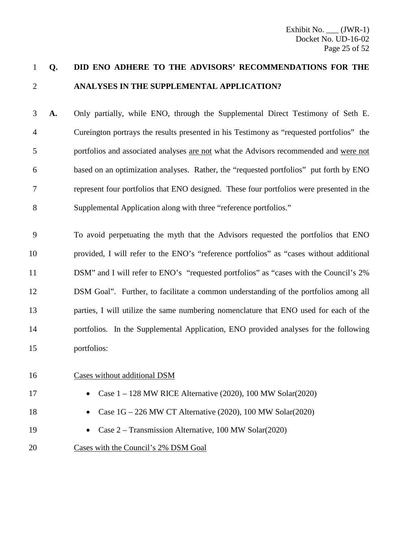### **Q. DID ENO ADHERE TO THE ADVISORS' RECOMMENDATIONS FOR THE ANALYSES IN THE SUPPLEMENTAL APPLICATION?**

 **A.** Only partially, while ENO, through the Supplemental Direct Testimony of Seth E. Cureington portrays the results presented in his Testimony as "requested portfolios" the portfolios and associated analyses are not what the Advisors recommended and were not based on an optimization analyses. Rather, the "requested portfolios" put forth by ENO represent four portfolios that ENO designed. These four portfolios were presented in the Supplemental Application along with three "reference portfolios."

 To avoid perpetuating the myth that the Advisors requested the portfolios that ENO provided, I will refer to the ENO's "reference portfolios" as "cases without additional DSM" and I will refer to ENO's "requested portfolios" as "cases with the Council's 2% DSM Goal". Further, to facilitate a common understanding of the portfolios among all parties, I will utilize the same numbering nomenclature that ENO used for each of the portfolios. In the Supplemental Application, ENO provided analyses for the following portfolios:

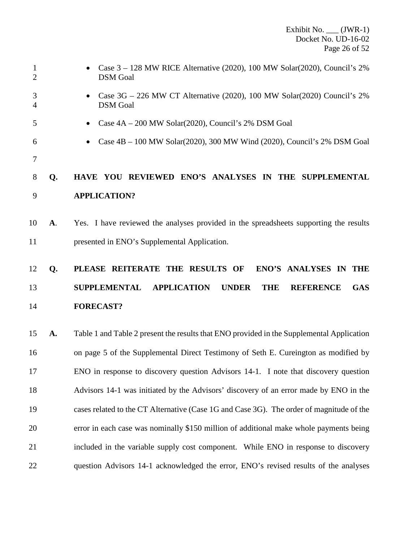| $\mathbf{1}$<br>$\overline{2}$ |    | Case $3 - 128$ MW RICE Alternative (2020), 100 MW Solar(2020), Council's 2%<br><b>DSM</b> Goal            |
|--------------------------------|----|-----------------------------------------------------------------------------------------------------------|
| 3<br>$\overline{4}$            |    | Case $3G - 226$ MW CT Alternative (2020), 100 MW Solar(2020) Council's 2%<br><b>DSM</b> Goal              |
| 5                              |    | Case 4A – 200 MW Solar(2020), Council's 2% DSM Goal<br>$\bullet$                                          |
| 6                              |    | Case 4B - 100 MW Solar(2020), 300 MW Wind (2020), Council's 2% DSM Goal                                   |
| 7                              |    |                                                                                                           |
| 8                              | Q. | HAVE YOU REVIEWED ENO'S ANALYSES IN THE SUPPLEMENTAL                                                      |
| 9                              |    | <b>APPLICATION?</b>                                                                                       |
| 10                             | A. | Yes. I have reviewed the analyses provided in the spreadsheets supporting the results                     |
| 11                             |    | presented in ENO's Supplemental Application.                                                              |
| 12                             | Q. | PLEASE REITERATE THE RESULTS OF<br>ENO'S ANALYSES IN THE                                                  |
| 13                             |    | <b>SUPPLEMENTAL</b><br><b>APPLICATION</b><br><b>UNDER</b><br><b>THE</b><br><b>GAS</b><br><b>REFERENCE</b> |
| 14                             |    | <b>FORECAST?</b>                                                                                          |
| 15                             | A. | Table 1 and Table 2 present the results that ENO provided in the Supplemental Application                 |
| 16                             |    | on page 5 of the Supplemental Direct Testimony of Seth E. Cureington as modified by                       |
| 17                             |    | ENO in response to discovery question Advisors 14-1. I note that discovery question                       |
| 18                             |    | Advisors 14-1 was initiated by the Advisors' discovery of an error made by ENO in the                     |
| 19                             |    | cases related to the CT Alternative (Case 1G and Case 3G). The order of magnitude of the                  |
| 20                             |    | error in each case was nominally \$150 million of additional make whole payments being                    |
| 21                             |    | included in the variable supply cost component. While ENO in response to discovery                        |
| 22                             |    | question Advisors 14-1 acknowledged the error, ENO's revised results of the analyses                      |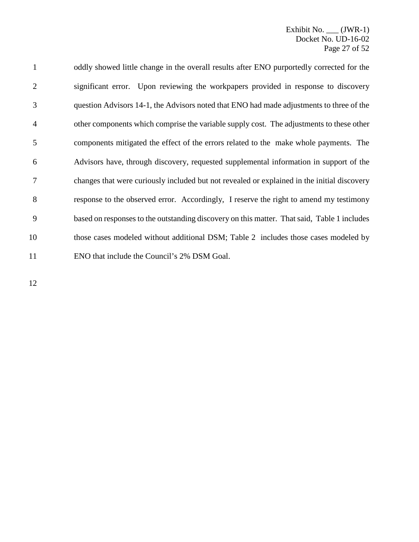oddly showed little change in the overall results after ENO purportedly corrected for the significant error. Upon reviewing the workpapers provided in response to discovery question Advisors 14-1, the Advisors noted that ENO had made adjustments to three of the other components which comprise the variable supply cost. The adjustments to these other components mitigated the effect of the errors related to the make whole payments. The Advisors have, through discovery, requested supplemental information in support of the changes that were curiously included but not revealed or explained in the initial discovery response to the observed error. Accordingly, I reserve the right to amend my testimony based on responses to the outstanding discovery on this matter. That said, Table 1 includes those cases modeled without additional DSM; Table 2 includes those cases modeled by ENO that include the Council's 2% DSM Goal.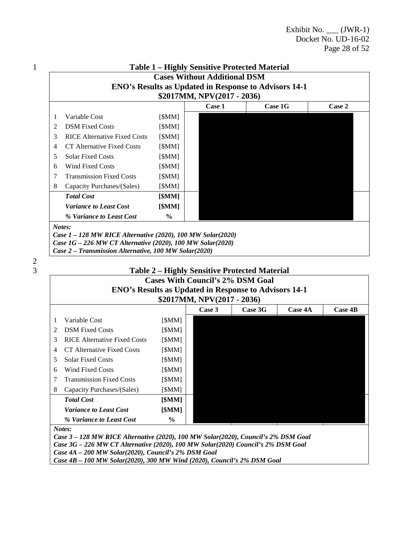|   |                                     |               | \$2017MM, NPV(2017 - 2036) |         |        |
|---|-------------------------------------|---------------|----------------------------|---------|--------|
|   |                                     |               | Case 1                     | Case 1G | Case 2 |
| 1 | Variable Cost                       | [\$MM]        |                            |         |        |
| 2 | <b>DSM Fixed Costs</b>              | [\$MM]        |                            |         |        |
| 3 | <b>RICE Alternative Fixed Costs</b> | [\$MM]        |                            |         |        |
| 4 | CT Alternative Fixed Costs          | [\$MM]        |                            |         |        |
| 5 | <b>Solar Fixed Costs</b>            | [\$MM]        |                            |         |        |
| 6 | <b>Wind Fixed Costs</b>             | [\$MM]        |                            |         |        |
| 7 | <b>Transmission Fixed Costs</b>     | [\$MM]        |                            |         |        |
| 8 | Capacity Purchases/(Sales)          | [\$MM]        |                            |         |        |
|   | <b>Total Cost</b>                   | [\$MM]        |                            |         |        |
|   | <b>Variance to Least Cost</b>       | [\$MM]        |                            |         |        |
|   | % Variance to Least Cost            | $\frac{0}{0}$ |                            |         |        |

 $\frac{2}{3}$ 

| <b>Cases With Council's 2% DSM Goal</b><br><b>ENO's Results as Updated in Response to Advisors 14-1</b><br>\$2017MM, NPV(2017 - 2036) |                                     |               |  |  |  |  |
|---------------------------------------------------------------------------------------------------------------------------------------|-------------------------------------|---------------|--|--|--|--|
|                                                                                                                                       |                                     |               |  |  |  |  |
|                                                                                                                                       |                                     |               |  |  |  |  |
| 1                                                                                                                                     | Variable Cost                       | [\$MM]        |  |  |  |  |
| 2                                                                                                                                     | <b>DSM Fixed Costs</b>              | [\$MM]        |  |  |  |  |
| 3                                                                                                                                     | <b>RICE Alternative Fixed Costs</b> | [\$MM]        |  |  |  |  |
| $\overline{4}$                                                                                                                        | CT Alternative Fixed Costs          | [\$MM]        |  |  |  |  |
| 5                                                                                                                                     | <b>Solar Fixed Costs</b>            | [\$MM]        |  |  |  |  |
| 6                                                                                                                                     | Wind Fixed Costs                    | [\$MM]        |  |  |  |  |
| 7                                                                                                                                     | <b>Transmission Fixed Costs</b>     | [\$MM]        |  |  |  |  |
| 8                                                                                                                                     | Capacity Purchases/(Sales)          | [\$MM]        |  |  |  |  |
|                                                                                                                                       | <b>Total Cost</b>                   | [\$MM]        |  |  |  |  |
|                                                                                                                                       | <b>Variance to Least Cost</b>       | [\$MM]        |  |  |  |  |
|                                                                                                                                       | % Variance to Least Cost            | $\frac{6}{6}$ |  |  |  |  |

*Notes:*

*Case 3 – 128 MW RICE Alternative (2020), 100 MW Solar(2020), Council's 2% DSM Goal Case 3G – 226 MW CT Alternative (2020), 100 MW Solar(2020) Council's 2% DSM Goal Case 4A – 200 MW Solar(2020), Council's 2% DSM Goal*

*Case 4B – 100 MW Solar(2020), 300 MW Wind (2020), Council's 2% DSM Goal*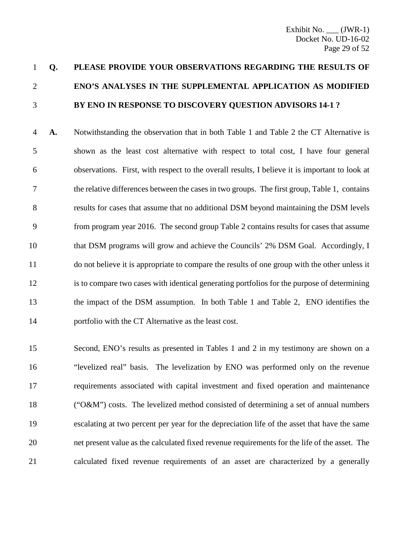## **Q. PLEASE PROVIDE YOUR OBSERVATIONS REGARDING THE RESULTS OF ENO'S ANALYSES IN THE SUPPLEMENTAL APPLICATION AS MODIFIED BY ENO IN RESPONSE TO DISCOVERY QUESTION ADVISORS 14-1 ?**

 **A.** Notwithstanding the observation that in both Table 1 and Table 2 the CT Alternative is shown as the least cost alternative with respect to total cost, I have four general observations. First, with respect to the overall results, I believe it is important to look at the relative differences between the cases in two groups. The first group, Table 1, contains results for cases that assume that no additional DSM beyond maintaining the DSM levels from program year 2016. The second group Table 2 contains results for cases that assume that DSM programs will grow and achieve the Councils' 2% DSM Goal. Accordingly, I do not believe it is appropriate to compare the results of one group with the other unless it is to compare two cases with identical generating portfolios for the purpose of determining the impact of the DSM assumption. In both Table 1 and Table 2, ENO identifies the portfolio with the CT Alternative as the least cost.

 Second, ENO's results as presented in Tables 1 and 2 in my testimony are shown on a "levelized real" basis. The levelization by ENO was performed only on the revenue requirements associated with capital investment and fixed operation and maintenance ("O&M") costs. The levelized method consisted of determining a set of annual numbers escalating at two percent per year for the depreciation life of the asset that have the same net present value as the calculated fixed revenue requirements for the life of the asset. The calculated fixed revenue requirements of an asset are characterized by a generally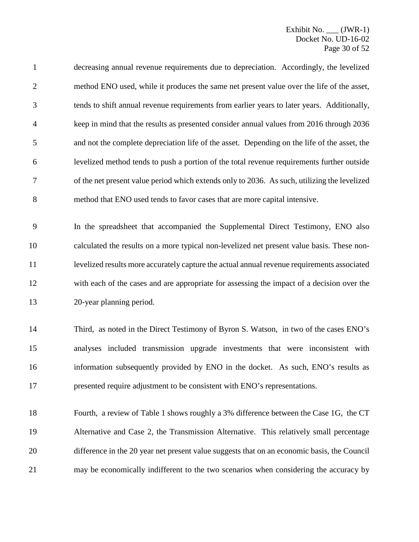decreasing annual revenue requirements due to depreciation. Accordingly, the levelized method ENO used, while it produces the same net present value over the life of the asset, tends to shift annual revenue requirements from earlier years to later years. Additionally, keep in mind that the results as presented consider annual values from 2016 through 2036 and not the complete depreciation life of the asset. Depending on the life of the asset, the levelized method tends to push a portion of the total revenue requirements further outside of the net present value period which extends only to 2036. As such, utilizing the levelized method that ENO used tends to favor cases that are more capital intensive.

 In the spreadsheet that accompanied the Supplemental Direct Testimony, ENO also calculated the results on a more typical non-levelized net present value basis. These non- levelized results more accurately capture the actual annual revenue requirements associated with each of the cases and are appropriate for assessing the impact of a decision over the 20-year planning period.

 Third, as noted in the Direct Testimony of Byron S. Watson, in two of the cases ENO's analyses included transmission upgrade investments that were inconsistent with information subsequently provided by ENO in the docket. As such, ENO's results as presented require adjustment to be consistent with ENO's representations.

 Fourth, a review of Table 1 shows roughly a 3% difference between the Case 1G, the CT Alternative and Case 2, the Transmission Alternative. This relatively small percentage difference in the 20 year net present value suggests that on an economic basis, the Council may be economically indifferent to the two scenarios when considering the accuracy by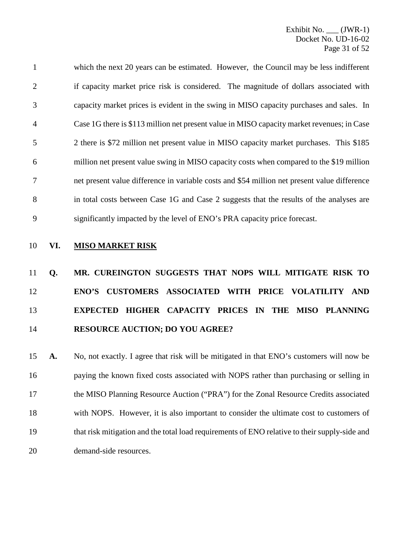which the next 20 years can be estimated. However, the Council may be less indifferent 2 if capacity market price risk is considered. The magnitude of dollars associated with capacity market prices is evident in the swing in MISO capacity purchases and sales. In Case 1G there is \$113 million net present value in MISO capacity market revenues; in Case 2 there is \$72 million net present value in MISO capacity market purchases. This \$185 million net present value swing in MISO capacity costs when compared to the \$19 million net present value difference in variable costs and \$54 million net present value difference 8 in total costs between Case 1G and Case 2 suggests that the results of the analyses are significantly impacted by the level of ENO's PRA capacity price forecast.

### **VI. MISO MARKET RISK**

## **Q. MR. CUREINGTON SUGGESTS THAT NOPS WILL MITIGATE RISK TO ENO'S CUSTOMERS ASSOCIATED WITH PRICE VOLATILITY AND EXPECTED HIGHER CAPACITY PRICES IN THE MISO PLANNING RESOURCE AUCTION; DO YOU AGREE?**

 **A.** No, not exactly. I agree that risk will be mitigated in that ENO's customers will now be paying the known fixed costs associated with NOPS rather than purchasing or selling in the MISO Planning Resource Auction ("PRA") for the Zonal Resource Credits associated with NOPS. However, it is also important to consider the ultimate cost to customers of that risk mitigation and the total load requirements of ENO relative to their supply-side and demand-side resources.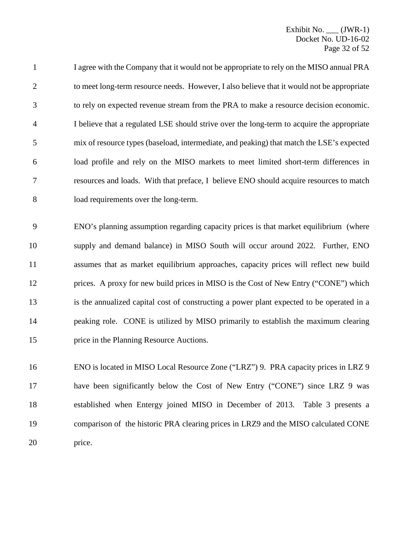1 I agree with the Company that it would not be appropriate to rely on the MISO annual PRA 2 to meet long-term resource needs. However, I also believe that it would not be appropriate to rely on expected revenue stream from the PRA to make a resource decision economic. I believe that a regulated LSE should strive over the long-term to acquire the appropriate mix of resource types (baseload, intermediate, and peaking) that match the LSE's expected load profile and rely on the MISO markets to meet limited short-term differences in resources and loads. With that preface, I believe ENO should acquire resources to match load requirements over the long-term.

 ENO's planning assumption regarding capacity prices is that market equilibrium (where supply and demand balance) in MISO South will occur around 2022. Further, ENO assumes that as market equilibrium approaches, capacity prices will reflect new build prices. A proxy for new build prices in MISO is the Cost of New Entry ("CONE") which is the annualized capital cost of constructing a power plant expected to be operated in a peaking role. CONE is utilized by MISO primarily to establish the maximum clearing price in the Planning Resource Auctions.

 ENO is located in MISO Local Resource Zone ("LRZ") 9. PRA capacity prices in LRZ 9 have been significantly below the Cost of New Entry ("CONE") since LRZ 9 was established when Entergy joined MISO in December of 2013. Table 3 presents a comparison of the historic PRA clearing prices in LRZ9 and the MISO calculated CONE price.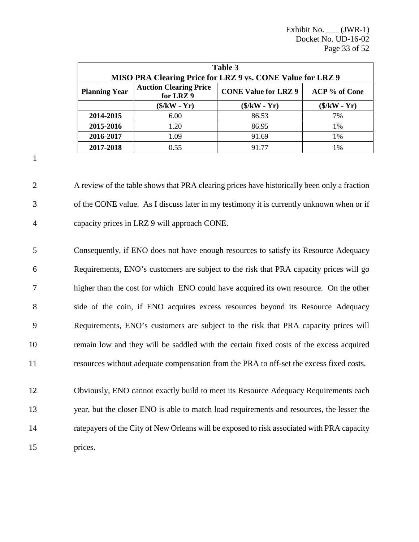| Table 3                                                           |                                           |                             |               |  |  |  |  |  |
|-------------------------------------------------------------------|-------------------------------------------|-----------------------------|---------------|--|--|--|--|--|
| <b>MISO PRA Clearing Price for LRZ 9 vs. CONE Value for LRZ 9</b> |                                           |                             |               |  |  |  |  |  |
| <b>Planning Year</b>                                              | <b>Auction Clearing Price</b><br>for LRZ9 | <b>CONE Value for LRZ 9</b> | ACP % of Cone |  |  |  |  |  |
|                                                                   | $($/kW - Yr)$                             | $(\frac{1}{2}KW - Yr)$      | $($/kW - Yr)$ |  |  |  |  |  |
| 2014-2015                                                         | 6.00                                      | 86.53                       | 7%            |  |  |  |  |  |
| 2015-2016                                                         | 1.20                                      | 86.95                       | 1%            |  |  |  |  |  |
| 2016-2017                                                         | 1.09                                      | 91.69                       | $1\%$         |  |  |  |  |  |
| 2017-2018                                                         | 0.55                                      | 91 77                       | 1%            |  |  |  |  |  |

1

2 A review of the table shows that PRA clearing prices have historically been only a fraction 3 of the CONE value. As I discuss later in my testimony it is currently unknown when or if 4 capacity prices in LRZ 9 will approach CONE.

 Consequently, if ENO does not have enough resources to satisfy its Resource Adequacy Requirements, ENO's customers are subject to the risk that PRA capacity prices will go higher than the cost for which ENO could have acquired its own resource. On the other side of the coin, if ENO acquires excess resources beyond its Resource Adequacy Requirements, ENO's customers are subject to the risk that PRA capacity prices will remain low and they will be saddled with the certain fixed costs of the excess acquired resources without adequate compensation from the PRA to off-set the excess fixed costs.

 Obviously, ENO cannot exactly build to meet its Resource Adequacy Requirements each year, but the closer ENO is able to match load requirements and resources, the lesser the ratepayers of the City of New Orleans will be exposed to risk associated with PRA capacity 15 prices.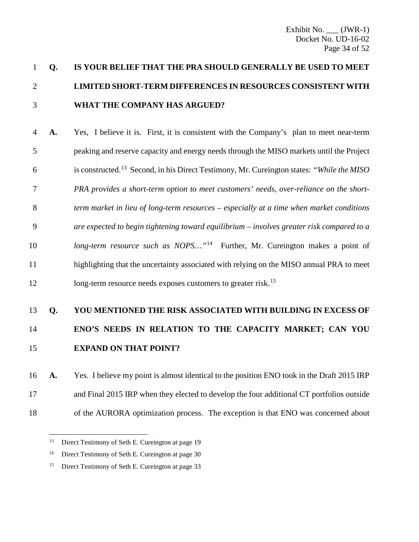## **Q. IS YOUR BELIEF THAT THE PRA SHOULD GENERALLY BE USED TO MEET LIMITED SHORT-TERM DIFFERENCES IN RESOURCES CONSISTENT WITH WHAT THE COMPANY HAS ARGUED?**

 **A.** Yes, I believe it is. First, it is consistent with the Company's plan to meet near-term peaking and reserve capacity and energy needs through the MISO markets until the Project is constructed.[13](#page-34-0) 6 Second, in his Direct Testimony, Mr. Cureington states: *"While the MISO PRA provides a short-term option to meet customers' needs, over-reliance on the short- term market in lieu of long-term resources – especially at a time when market conditions are expected to begin tightening toward equilibrium – involves greater risk compared to a long-termresource such as NOPS...*<sup>"14</sup> Further, Mr. Cureington makes a point of highlighting that the uncertainty associated with relying on the MISO annual PRA to meet 12 long-term resource needs exposes customers to greater risk.<sup>[15](#page-34-2)</sup>

## **Q. YOU MENTIONED THE RISK ASSOCIATED WITH BUILDING IN EXCESS OF ENO'S NEEDS IN RELATION TO THE CAPACITY MARKET; CAN YOU EXPAND ON THAT POINT?**

 **A.** Yes. I believe my point is almost identical to the position ENO took in the Draft 2015 IRP and Final 2015 IRP when they elected to develop the four additional CT portfolios outside of the AURORA optimization process. The exception is that ENO was concerned about

<span id="page-34-0"></span><sup>&</sup>lt;sup>13</sup> Direct Testimony of Seth E. Cureington at page 19

<span id="page-34-1"></span><sup>&</sup>lt;sup>14</sup> Direct Testimony of Seth E. Cureington at page 30

<span id="page-34-2"></span><sup>&</sup>lt;sup>15</sup> Direct Testimony of Seth E. Cureington at page 33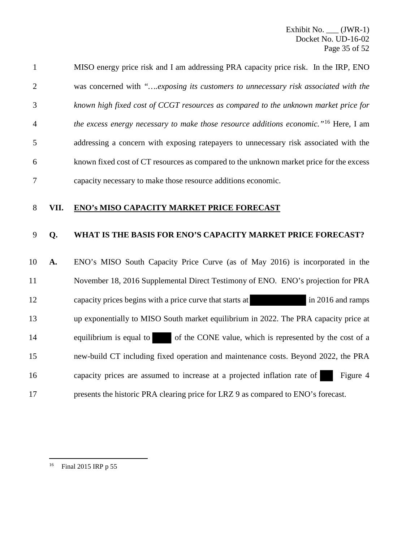| $\mathbf{1}$   |      | MISO energy price risk and I am addressing PRA capacity price risk. In the IRP, ENO              |
|----------------|------|--------------------------------------------------------------------------------------------------|
| $\overline{2}$ |      | was concerned with "exposing its customers to unnecessary risk associated with the               |
| 3              |      | known high fixed cost of CCGT resources as compared to the unknown market price for              |
| $\overline{4}$ |      | the excess energy necessary to make those resource additions economic." <sup>16</sup> Here, I am |
| 5              |      | addressing a concern with exposing ratepayers to unnecessary risk associated with the            |
| 6              |      | known fixed cost of CT resources as compared to the unknown market price for the excess          |
| 7              |      | capacity necessary to make those resource additions economic.                                    |
|                |      |                                                                                                  |
| 8              | VII. | <b>ENO's MISO CAPACITY MARKET PRICE FORECAST</b>                                                 |
| 9              | Q.   | WHAT IS THE BASIS FOR ENO'S CAPACITY MARKET PRICE FORECAST?                                      |
| 10             | A.   | ENO's MISO South Capacity Price Curve (as of May 2016) is incorporated in the                    |
| 11             |      | November 18, 2016 Supplemental Direct Testimony of ENO. ENO's projection for PRA                 |
| 12             |      | capacity prices begins with a price curve that starts at<br>in 2016 and ramps                    |
| 13             |      | up exponentially to MISO South market equilibrium in 2022. The PRA capacity price at             |

16 capacity prices are assumed to increase at a projected inflation rate of Figure 4

15 new-build CT including fixed operation and maintenance costs. Beyond 2022, the PRA

17 presents the historic PRA clearing price for LRZ 9 as compared to ENO's forecast.

<span id="page-35-0"></span> $16\,$ Final 2015 IRP p 55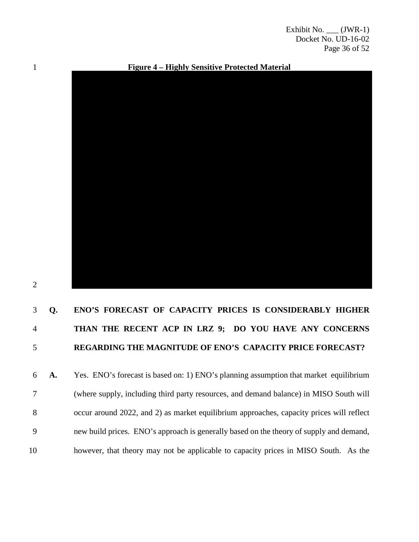Exhibit No. \_\_\_ (JWR-1) Docket No. UD-16-02 Page 36 of 52

1 **Figure 4 – Highly Sensitive Protected Material**



#### 2

## 3 **Q. ENO'S FORECAST OF CAPACITY PRICES IS CONSIDERABLY HIGHER**  4 **THAN THE RECENT ACP IN LRZ 9; DO YOU HAVE ANY CONCERNS**  5 **REGARDING THE MAGNITUDE OF ENO'S CAPACITY PRICE FORECAST?**

6 **A.** Yes. ENO's forecast is based on: 1) ENO's planning assumption that market equilibrium 7 (where supply, including third party resources, and demand balance) in MISO South will 8 occur around 2022, and 2) as market equilibrium approaches, capacity prices will reflect 9 new build prices. ENO's approach is generally based on the theory of supply and demand, 10 however, that theory may not be applicable to capacity prices in MISO South. As the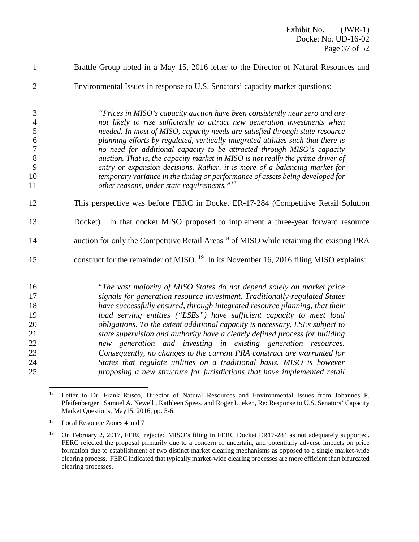- Brattle Group noted in a May 15, 2016 letter to the Director of Natural Resources and
- Environmental Issues in response to U.S. Senators' capacity market questions:

 *"Prices in MISO's capacity auction have been consistently near zero and are not likely to rise sufficiently to attract new generation investments when needed. In most of MISO, capacity needs are satisfied through state resource planning efforts by regulated, vertically-integrated utilities such that there is no need for additional capacity to be attracted through MISO's capacity auction. That is, the capacity market in MISO is not really the prime driver of entry or expansion decisions. Rather, it is more of a balancing market for temporary variance in the timing or performance of assets being developed for other reasons, under state requirements."[17](#page-37-0)*

- 12 This perspective was before FERC in Docket ER-17-284 (Competitive Retail Solution
- Docket). In that docket MISO proposed to implement a three-year forward resource
- 14 auction for only the Competitive Retail Areas<sup>[18](#page-37-1)</sup> of MISO while retaining the existing PRA
- 15 construct for the remainder of MISO. In its November 16, 2016 filing MISO explains:

 "*The vast majority of MISO States do not depend solely on market price signals for generation resource investment. Traditionally-regulated States have successfully ensured, through integrated resource planning, that their load serving entities ("LSEs") have sufficient capacity to meet load obligations. To the extent additional capacity is necessary, LSEs subject to state supervision and authority have a clearly defined process for building new generation and investing in existing generation resources. Consequently, no changes to the current PRA construct are warranted for States that regulate utilities on a traditional basis. MISO is however proposing a new structure for jurisdictions that have implemented retail* 

<span id="page-37-0"></span><sup>&</sup>lt;sup>17</sup> Letter to Dr. Frank Rusco, Director of Natural Resources and Environmental Issues from Johannes P. Pfeifenberger , Samuel A. Newell , Kathleen Spees, and Roger Lueken, Re: Response to U.S. Senators' Capacity Market Questions, May15, 2016, pp. 5-6.

<span id="page-37-1"></span>Local Resource Zones 4 and 7

<span id="page-37-2"></span><sup>&</sup>lt;sup>19</sup> On February 2, 2017, FERC rejected MISO's filing in FERC Docket ER17-284 as not adequately supported. FERC rejected the proposal primarily due to a concern of uncertain, and potentially adverse impacts on price formation due to establishment of two distinct market clearing mechanisms as opposed to a single market-wide clearing process. FERC indicated that typically market-wide clearing processes are more efficient than bifurcated clearing processes.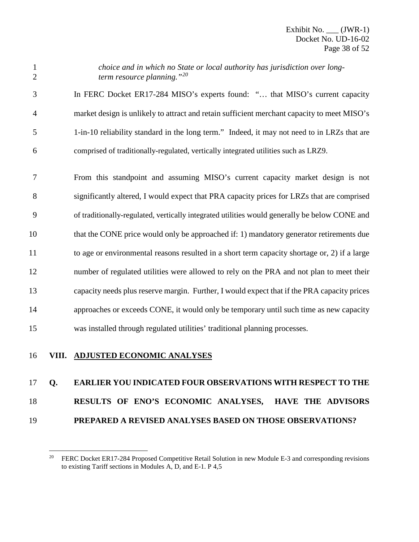*choice and in which no State or local authority has jurisdiction over longterm resource planning."[20](#page-38-0)*

 In FERC Docket ER17-284 MISO's experts found: "… that MISO's current capacity market design is unlikely to attract and retain sufficient merchant capacity to meet MISO's 1-in-10 reliability standard in the long term." Indeed, it may not need to in LRZs that are comprised of traditionally-regulated, vertically integrated utilities such as LRZ9.

 From this standpoint and assuming MISO's current capacity market design is not significantly altered, I would expect that PRA capacity prices for LRZs that are comprised of traditionally-regulated, vertically integrated utilities would generally be below CONE and that the CONE price would only be approached if: 1) mandatory generator retirements due to age or environmental reasons resulted in a short term capacity shortage or, 2) if a large number of regulated utilities were allowed to rely on the PRA and not plan to meet their capacity needs plus reserve margin. Further, I would expect that if the PRA capacity prices approaches or exceeds CONE, it would only be temporary until such time as new capacity was installed through regulated utilities' traditional planning processes.

### **VIII. ADJUSTED ECONOMIC ANALYSES**

### **Q. EARLIER YOU INDICATED FOUR OBSERVATIONS WITH RESPECT TO THE**

### **RESULTS OF ENO'S ECONOMIC ANALYSES, HAVE THE ADVISORS**

<span id="page-38-0"></span>**PREPARED A REVISED ANALYSES BASED ON THOSE OBSERVATIONS?**

<sup>&</sup>lt;sup>20</sup> FERC Docket ER17-284 Proposed Competitive Retail Solution in new Module E-3 and corresponding revisions to existing Tariff sections in Modules A, D, and E-1. P 4,5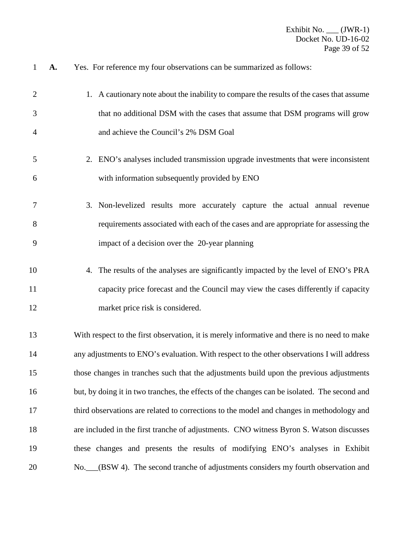**A.** Yes. For reference my four observations can be summarized as follows:

| $\overline{2}$ | 1. A cautionary note about the inability to compare the results of the cases that assume     |
|----------------|----------------------------------------------------------------------------------------------|
| 3              | that no additional DSM with the cases that assume that DSM programs will grow                |
| $\overline{4}$ | and achieve the Council's 2% DSM Goal                                                        |
| 5              | 2. ENO's analyses included transmission upgrade investments that were inconsistent           |
| 6              | with information subsequently provided by ENO                                                |
| 7              | 3. Non-levelized results more accurately capture the actual annual revenue                   |
| 8              | requirements associated with each of the cases and are appropriate for assessing the         |
| 9              | impact of a decision over the 20-year planning                                               |
| 10             | 4. The results of the analyses are significantly impacted by the level of ENO's PRA          |
| 11             | capacity price forecast and the Council may view the cases differently if capacity           |
| 12             | market price risk is considered.                                                             |
| 13             | With respect to the first observation, it is merely informative and there is no need to make |
| 14             | any adjustments to ENO's evaluation. With respect to the other observations I will address   |
| 15             | those changes in tranches such that the adjustments build upon the previous adjustments      |
| 16             | but, by doing it in two tranches, the effects of the changes can be isolated. The second and |
| 17             | third observations are related to corrections to the model and changes in methodology and    |
| 18             | are included in the first tranche of adjustments. CNO witness Byron S. Watson discusses      |
| 19             | these changes and presents the results of modifying ENO's analyses in Exhibit                |
| 20             | No. (BSW 4). The second tranche of adjustments considers my fourth observation and           |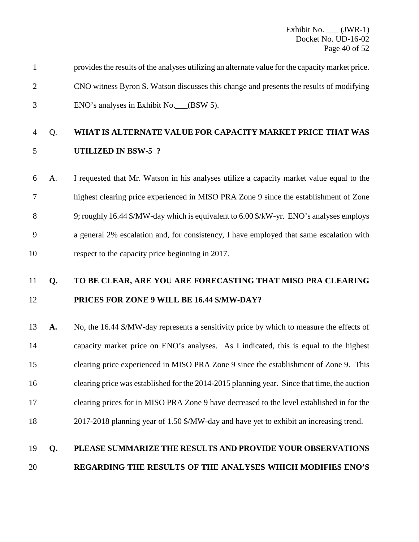| provides the results of the analyses utilizing an alternate value for the capacity market price. |
|--------------------------------------------------------------------------------------------------|
| CNO witness Byron S. Watson discusses this change and presents the results of modifying          |
| ENO's analyses in Exhibit No. (BSW 5).                                                           |

### Q. **WHAT IS ALTERNATE VALUE FOR CAPACITY MARKET PRICE THAT WAS UTILIZED IN BSW-5 ?**

## A. I requested that Mr. Watson in his analyses utilize a capacity market value equal to the highest clearing price experienced in MISO PRA Zone 9 since the establishment of Zone 9; roughly 16.44 \$/MW-day which is equivalent to 6.00 \$/kW-yr. ENO's analyses employs a general 2% escalation and, for consistency, I have employed that same escalation with respect to the capacity price beginning in 2017.

### **Q. TO BE CLEAR, ARE YOU ARE FORECASTING THAT MISO PRA CLEARING PRICES FOR ZONE 9 WILL BE 16.44 \$/MW-DAY?**

 **A.** No, the 16.44 \$/MW-day represents a sensitivity price by which to measure the effects of capacity market price on ENO's analyses. As I indicated, this is equal to the highest clearing price experienced in MISO PRA Zone 9 since the establishment of Zone 9. This clearing price was established for the 2014-2015 planning year. Since that time, the auction clearing prices for in MISO PRA Zone 9 have decreased to the level established in for the 2017-2018 planning year of 1.50 \$/MW-day and have yet to exhibit an increasing trend.

### **Q. PLEASE SUMMARIZE THE RESULTS AND PROVIDE YOUR OBSERVATIONS REGARDING THE RESULTS OF THE ANALYSES WHICH MODIFIES ENO'S**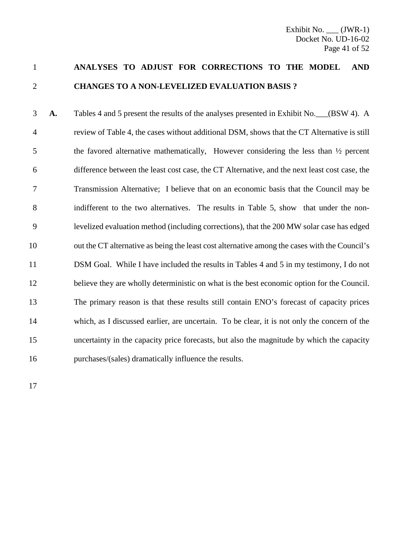### **ANALYSES TO ADJUST FOR CORRECTIONS TO THE MODEL AND CHANGES TO A NON-LEVELIZED EVALUATION BASIS ?**

**A.** Tables 4 and 5 present the results of the analyses presented in Exhibit No. (BSW 4). A review of Table 4, the cases without additional DSM, shows that the CT Alternative is still the favored alternative mathematically, However considering the less than ½ percent difference between the least cost case, the CT Alternative, and the next least cost case, the Transmission Alternative; I believe that on an economic basis that the Council may be indifferent to the two alternatives. The results in Table 5, show that under the non- levelized evaluation method (including corrections), that the 200 MW solar case has edged out the CT alternative as being the least cost alternative among the cases with the Council's DSM Goal. While I have included the results in Tables 4 and 5 in my testimony, I do not believe they are wholly deterministic on what is the best economic option for the Council. The primary reason is that these results still contain ENO's forecast of capacity prices which, as I discussed earlier, are uncertain. To be clear, it is not only the concern of the uncertainty in the capacity price forecasts, but also the magnitude by which the capacity purchases/(sales) dramatically influence the results.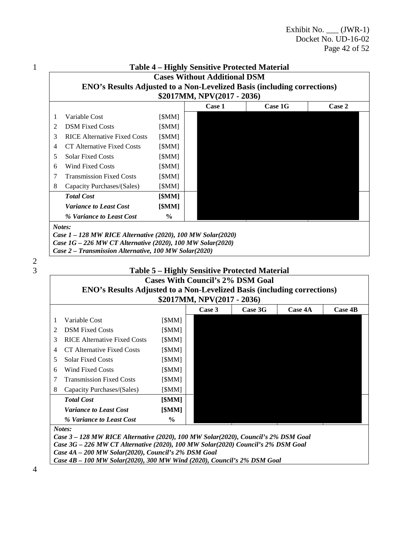|                             |                                     |               | \$2017MM, NPV(2017 - 2036) |  |  |  |  |  |  |
|-----------------------------|-------------------------------------|---------------|----------------------------|--|--|--|--|--|--|
| Case 1<br>Case 1G<br>Case 2 |                                     |               |                            |  |  |  |  |  |  |
| 1                           | Variable Cost                       | [\$MM]        |                            |  |  |  |  |  |  |
| 2                           | <b>DSM Fixed Costs</b>              | [\$MM]        |                            |  |  |  |  |  |  |
| 3                           | <b>RICE Alternative Fixed Costs</b> | [\$MM]        |                            |  |  |  |  |  |  |
| 4                           | CT Alternative Fixed Costs          | [\$MM]        |                            |  |  |  |  |  |  |
| 5                           | <b>Solar Fixed Costs</b>            | [\$MM]        |                            |  |  |  |  |  |  |
| 6                           | <b>Wind Fixed Costs</b>             | [\$MM]        |                            |  |  |  |  |  |  |
| 7                           | <b>Transmission Fixed Costs</b>     | [\$MM]        |                            |  |  |  |  |  |  |
| 8                           | Capacity Purchases/(Sales)          | [\$MM]        |                            |  |  |  |  |  |  |
|                             | <b>Total Cost</b>                   | [\$MM]        |                            |  |  |  |  |  |  |
|                             | <b>Variance to Least Cost</b>       | [\$MM]        |                            |  |  |  |  |  |  |
|                             | % Variance to Least Cost            | $\frac{0}{0}$ |                            |  |  |  |  |  |  |
|                             |                                     |               |                            |  |  |  |  |  |  |



### 3 **Table 5 – Highly Sensitive Protected Material**

### **Cases With Council's 2% DSM Goal**

|               | <b>ENO's Results Adjusted to a Non-Levelized Basis (including corrections)</b> |        |  |        |         |                |         |  |  |  |
|---------------|--------------------------------------------------------------------------------|--------|--|--------|---------|----------------|---------|--|--|--|
|               | \$2017MM, NPV(2017 - 2036)                                                     |        |  |        |         |                |         |  |  |  |
|               |                                                                                |        |  | Case 3 | Case 3G | <b>Case 4A</b> | Case 4B |  |  |  |
| $\mathbf{1}$  | Variable Cost                                                                  | [\$MM] |  |        |         |                |         |  |  |  |
| $\mathcal{L}$ | <b>DSM</b> Fixed Costs                                                         | [\$MM] |  |        |         |                |         |  |  |  |
| 3             | <b>RICE Alternative Fixed Costs</b>                                            | [\$MM] |  |        |         |                |         |  |  |  |
| 4             | CT Alternative Fixed Costs                                                     | [\$MM] |  |        |         |                |         |  |  |  |
| 5             | <b>Solar Fixed Costs</b>                                                       | [\$MM] |  |        |         |                |         |  |  |  |
| 6             | Wind Fixed Costs                                                               | [\$MM] |  |        |         |                |         |  |  |  |
| 7             | <b>Transmission Fixed Costs</b>                                                | [\$MM] |  |        |         |                |         |  |  |  |
| 8             | Capacity Purchases/(Sales)                                                     | [\$MM] |  |        |         |                |         |  |  |  |
|               | <b>Total Cost</b>                                                              | [\$MM] |  |        |         |                |         |  |  |  |
|               | <i>Variance to Least Cost</i>                                                  | [\$MM] |  |        |         |                |         |  |  |  |
|               | % Variance to Least Cost                                                       | $\%$   |  |        |         |                |         |  |  |  |
| $\cdots$      |                                                                                |        |  |        |         |                |         |  |  |  |

*Notes:*

*Case 3 – 128 MW RICE Alternative (2020), 100 MW Solar(2020), Council's 2% DSM Goal Case 3G – 226 MW CT Alternative (2020), 100 MW Solar(2020) Council's 2% DSM Goal Case 4A – 200 MW Solar(2020), Council's 2% DSM Goal Case 4B – 100 MW Solar(2020), 300 MW Wind (2020), Council's 2% DSM Goal*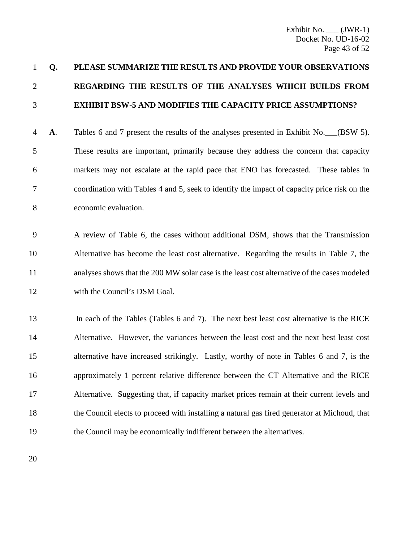## **Q. PLEASE SUMMARIZE THE RESULTS AND PROVIDE YOUR OBSERVATIONS REGARDING THE RESULTS OF THE ANALYSES WHICH BUILDS FROM EXHIBIT BSW-5 AND MODIFIES THE CAPACITY PRICE ASSUMPTIONS?**

 **A**. Tables 6 and 7 present the results of the analyses presented in Exhibit No.\_\_\_(BSW 5). These results are important, primarily because they address the concern that capacity markets may not escalate at the rapid pace that ENO has forecasted. These tables in coordination with Tables 4 and 5, seek to identify the impact of capacity price risk on the economic evaluation.

 A review of Table 6, the cases without additional DSM, shows that the Transmission Alternative has become the least cost alternative. Regarding the results in Table 7, the analyses shows that the 200 MW solar case is the least cost alternative of the cases modeled with the Council's DSM Goal.

 In each of the Tables (Tables 6 and 7). The next best least cost alternative is the RICE Alternative. However, the variances between the least cost and the next best least cost alternative have increased strikingly. Lastly, worthy of note in Tables 6 and 7, is the approximately 1 percent relative difference between the CT Alternative and the RICE Alternative. Suggesting that, if capacity market prices remain at their current levels and the Council elects to proceed with installing a natural gas fired generator at Michoud, that 19 the Council may be economically indifferent between the alternatives.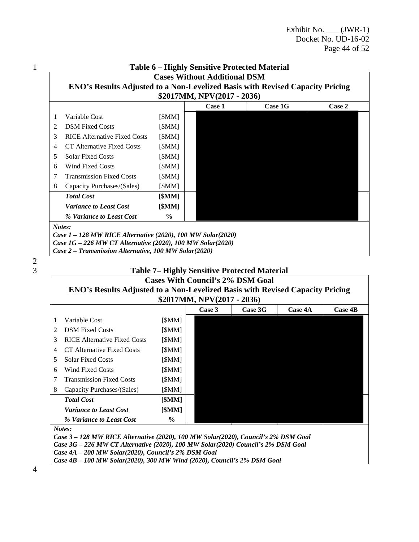| \$2017MM, NPV(2017 - 2036) |                                     |               |        |         |        |  |
|----------------------------|-------------------------------------|---------------|--------|---------|--------|--|
|                            |                                     |               | Case 1 | Case 1G | Case 2 |  |
| 1                          | Variable Cost                       | [\$MM]        |        |         |        |  |
| $\mathfrak{D}$             | <b>DSM</b> Fixed Costs              | [\$MM]        |        |         |        |  |
| 3                          | <b>RICE Alternative Fixed Costs</b> | [\$MM]        |        |         |        |  |
| 4                          | CT Alternative Fixed Costs          | [\$MM]        |        |         |        |  |
| 5                          | <b>Solar Fixed Costs</b>            | [\$MM]        |        |         |        |  |
| 6                          | Wind Fixed Costs                    | [\$MM]        |        |         |        |  |
| 7                          | <b>Transmission Fixed Costs</b>     | [\$MM]        |        |         |        |  |
| 8                          | Capacity Purchases/(Sales)          | [\$MM]        |        |         |        |  |
|                            | <b>Total Cost</b>                   | [\$MM]        |        |         |        |  |
|                            | <b>Variance to Least Cost</b>       | [\$MM]        |        |         |        |  |
|                            | % Variance to Least Cost            | $\frac{6}{9}$ |        |         |        |  |

 $\frac{2}{3}$ 

### 3 **Table 7– Highly Sensitive Protected Material**

|                            | <b>Cases With Council's 2% DSM Goal</b>                                              |        |  |  |  |  |  |  |  |  |
|----------------------------|--------------------------------------------------------------------------------------|--------|--|--|--|--|--|--|--|--|
|                            | <b>ENO's Results Adjusted to a Non-Levelized Basis with Revised Capacity Pricing</b> |        |  |  |  |  |  |  |  |  |
| \$2017MM, NPV(2017 - 2036) |                                                                                      |        |  |  |  |  |  |  |  |  |
|                            | Case 3<br>Case 3G<br>Case 4A<br>Case 4B                                              |        |  |  |  |  |  |  |  |  |
| 1                          | Variable Cost                                                                        | [SMM]  |  |  |  |  |  |  |  |  |
| 2                          | <b>DSM</b> Fixed Costs                                                               | [\$MM] |  |  |  |  |  |  |  |  |
| 3                          | <b>RICE Alternative Fixed Costs</b>                                                  | [\$MM] |  |  |  |  |  |  |  |  |
| 4                          | CT Alternative Fixed Costs                                                           | [\$MM] |  |  |  |  |  |  |  |  |
| 5.                         | <b>Solar Fixed Costs</b>                                                             | [\$MM] |  |  |  |  |  |  |  |  |
| 6                          | Wind Fixed Costs                                                                     | [\$MM] |  |  |  |  |  |  |  |  |
| 7                          | <b>Transmission Fixed Costs</b>                                                      | [\$MM] |  |  |  |  |  |  |  |  |
| 8                          | Capacity Purchases/(Sales)                                                           | [\$MM] |  |  |  |  |  |  |  |  |
|                            | <b>Total Cost</b>                                                                    | [\$MM] |  |  |  |  |  |  |  |  |
|                            | <i>Variance to Least Cost</i>                                                        | [\$MM] |  |  |  |  |  |  |  |  |
|                            | % Variance to Least Cost                                                             | $\%$   |  |  |  |  |  |  |  |  |

*Notes:*

*Case 3 – 128 MW RICE Alternative (2020), 100 MW Solar(2020), Council's 2% DSM Goal Case 3G – 226 MW CT Alternative (2020), 100 MW Solar(2020) Council's 2% DSM Goal Case 4A – 200 MW Solar(2020), Council's 2% DSM Goal Case 4B – 100 MW Solar(2020), 300 MW Wind (2020), Council's 2% DSM Goal*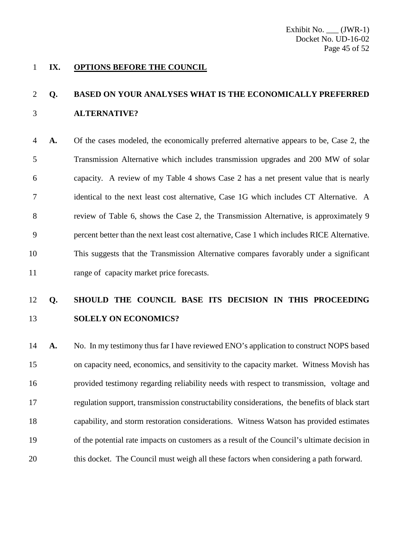#### **IX. OPTIONS BEFORE THE COUNCIL**

### **Q. BASED ON YOUR ANALYSES WHAT IS THE ECONOMICALLY PREFERRED ALTERNATIVE?**

 **A.** Of the cases modeled, the economically preferred alternative appears to be, Case 2, the Transmission Alternative which includes transmission upgrades and 200 MW of solar capacity. A review of my Table 4 shows Case 2 has a net present value that is nearly identical to the next least cost alternative, Case 1G which includes CT Alternative. A review of Table 6, shows the Case 2, the Transmission Alternative, is approximately 9 percent better than the next least cost alternative, Case 1 which includes RICE Alternative. This suggests that the Transmission Alternative compares favorably under a significant 11 range of capacity market price forecasts.

### **Q. SHOULD THE COUNCIL BASE ITS DECISION IN THIS PROCEEDING SOLELY ON ECONOMICS?**

**A.** No. In my testimony thus far I have reviewed ENO's application to construct NOPS based on capacity need, economics, and sensitivity to the capacity market. Witness Movish has provided testimony regarding reliability needs with respect to transmission, voltage and regulation support, transmission constructability considerations, the benefits of black start capability, and storm restoration considerations. Witness Watson has provided estimates of the potential rate impacts on customers as a result of the Council's ultimate decision in this docket. The Council must weigh all these factors when considering a path forward.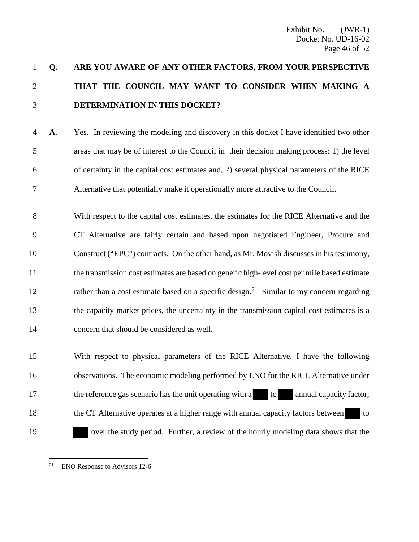## 1 **Q. ARE YOU AWARE OF ANY OTHER FACTORS, FROM YOUR PERSPECTIVE**  2 **THAT THE COUNCIL MAY WANT TO CONSIDER WHEN MAKING A**  3 **DETERMINATION IN THIS DOCKET?**

- 4 **A.** Yes. In reviewing the modeling and discovery in this docket I have identified two other 5 areas that may be of interest to the Council in their decision making process: 1) the level 6 of certainty in the capital cost estimates and, 2) several physical parameters of the RICE 7 Alternative that potentially make it operationally more attractive to the Council.
- 8 With respect to the capital cost estimates, the estimates for the RICE Alternative and the 9 CT Alternative are fairly certain and based upon negotiated Engineer, Procure and 10 Construct ("EPC") contracts. On the other hand, as Mr. Movish discusses in his testimony, 11 the transmission cost estimates are based on generic high-level cost per mile based estimate 12 rather than a cost estimate based on a specific design.<sup>[21](#page-46-0)</sup> Similar to my concern regarding 13 the capacity market prices, the uncertainty in the transmission capital cost estimates is a 14 concern that should be considered as well.
- 15 With respect to physical parameters of the RICE Alternative, I have the following 16 observations. The economic modeling performed by ENO for the RICE Alternative under 17 the reference gas scenario has the unit operating with a to annual capacity factor; 18 the CT Alternative operates at a higher range with annual capacity factors between to 19 over the study period. Further, a review of the hourly modeling data shows that the

<span id="page-46-0"></span> $21$ ENO Response to Advisors 12-6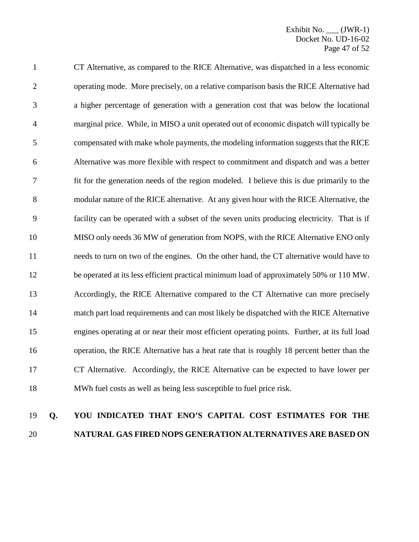CT Alternative, as compared to the RICE Alternative, was dispatched in a less economic operating mode. More precisely, on a relative comparison basis the RICE Alternative had a higher percentage of generation with a generation cost that was below the locational marginal price. While, in MISO a unit operated out of economic dispatch will typically be compensated with make whole payments, the modeling information suggests that the RICE Alternative was more flexible with respect to commitment and dispatch and was a better fit for the generation needs of the region modeled. I believe this is due primarily to the modular nature of the RICE alternative. At any given hour with the RICE Alternative, the facility can be operated with a subset of the seven units producing electricity. That is if MISO only needs 36 MW of generation from NOPS, with the RICE Alternative ENO only needs to turn on two of the engines. On the other hand, the CT alternative would have to be operated at its less efficient practical minimum load of approximately 50% or 110 MW. Accordingly, the RICE Alternative compared to the CT Alternative can more precisely match part load requirements and can most likely be dispatched with the RICE Alternative engines operating at or near their most efficient operating points. Further, at its full load operation, the RICE Alternative has a heat rate that is roughly 18 percent better than the CT Alternative. Accordingly, the RICE Alternative can be expected to have lower per MWh fuel costs as well as being less susceptible to fuel price risk.

### **Q. YOU INDICATED THAT ENO'S CAPITAL COST ESTIMATES FOR THE NATURAL GAS FIRED NOPS GENERATION ALTERNATIVES ARE BASED ON**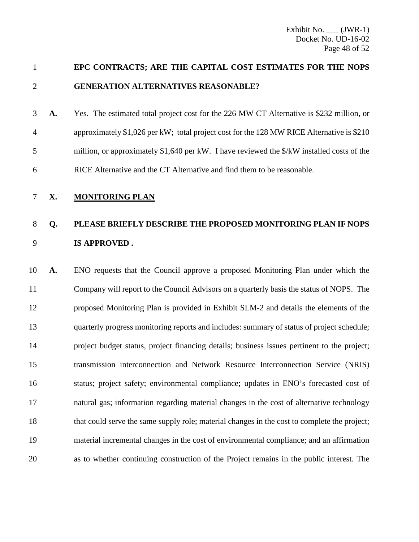### **EPC CONTRACTS; ARE THE CAPITAL COST ESTIMATES FOR THE NOPS GENERATION ALTERNATIVES REASONABLE?**

- **A.** Yes. The estimated total project cost for the 226 MW CT Alternative is \$232 million, or approximately \$1,026 per kW; total project cost for the 128 MW RICE Alternative is \$210 million, or approximately \$1,640 per kW. I have reviewed the \$/kW installed costs of the RICE Alternative and the CT Alternative and find them to be reasonable.
- **X. MONITORING PLAN**

### **Q. PLEASE BRIEFLY DESCRIBE THE PROPOSED MONITORING PLAN IF NOPS IS APPROVED .**

 **A.** ENO requests that the Council approve a proposed Monitoring Plan under which the Company will report to the Council Advisors on a quarterly basis the status of NOPS. The proposed Monitoring Plan is provided in Exhibit SLM-2 and details the elements of the quarterly progress monitoring reports and includes: summary of status of project schedule; project budget status, project financing details; business issues pertinent to the project; transmission interconnection and Network Resource Interconnection Service (NRIS) 16 status; project safety; environmental compliance; updates in ENO's forecasted cost of natural gas; information regarding material changes in the cost of alternative technology that could serve the same supply role; material changes in the cost to complete the project; material incremental changes in the cost of environmental compliance; and an affirmation as to whether continuing construction of the Project remains in the public interest. The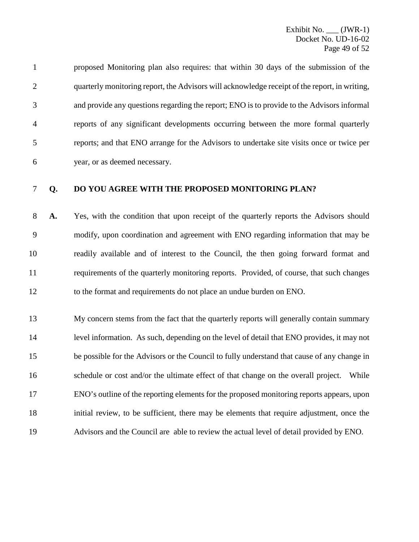proposed Monitoring plan also requires: that within 30 days of the submission of the quarterly monitoring report, the Advisors will acknowledge receipt of the report, in writing, and provide any questions regarding the report; ENO is to provide to the Advisors informal reports of any significant developments occurring between the more formal quarterly reports; and that ENO arrange for the Advisors to undertake site visits once or twice per year, or as deemed necessary.

#### **Q. DO YOU AGREE WITH THE PROPOSED MONITORING PLAN?**

 **A.** Yes, with the condition that upon receipt of the quarterly reports the Advisors should modify, upon coordination and agreement with ENO regarding information that may be readily available and of interest to the Council, the then going forward format and requirements of the quarterly monitoring reports. Provided, of course, that such changes to the format and requirements do not place an undue burden on ENO.

 My concern stems from the fact that the quarterly reports will generally contain summary level information. As such, depending on the level of detail that ENO provides, it may not be possible for the Advisors or the Council to fully understand that cause of any change in schedule or cost and/or the ultimate effect of that change on the overall project. While ENO's outline of the reporting elements for the proposed monitoring reports appears, upon initial review, to be sufficient, there may be elements that require adjustment, once the Advisors and the Council are able to review the actual level of detail provided by ENO.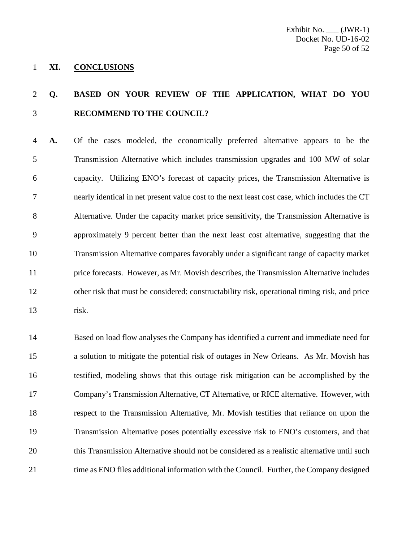#### **XI. CONCLUSIONS**

### **Q. BASED ON YOUR REVIEW OF THE APPLICATION, WHAT DO YOU RECOMMEND TO THE COUNCIL?**

 **A.** Of the cases modeled, the economically preferred alternative appears to be the Transmission Alternative which includes transmission upgrades and 100 MW of solar capacity. Utilizing ENO's forecast of capacity prices, the Transmission Alternative is nearly identical in net present value cost to the next least cost case, which includes the CT Alternative. Under the capacity market price sensitivity, the Transmission Alternative is approximately 9 percent better than the next least cost alternative, suggesting that the Transmission Alternative compares favorably under a significant range of capacity market price forecasts. However, as Mr. Movish describes, the Transmission Alternative includes other risk that must be considered: constructability risk, operational timing risk, and price risk.

 Based on load flow analyses the Company has identified a current and immediate need for a solution to mitigate the potential risk of outages in New Orleans. As Mr. Movish has testified, modeling shows that this outage risk mitigation can be accomplished by the Company's Transmission Alternative, CT Alternative, or RICE alternative. However, with respect to the Transmission Alternative, Mr. Movish testifies that reliance on upon the Transmission Alternative poses potentially excessive risk to ENO's customers, and that this Transmission Alternative should not be considered as a realistic alternative until such 21 time as ENO files additional information with the Council. Further, the Company designed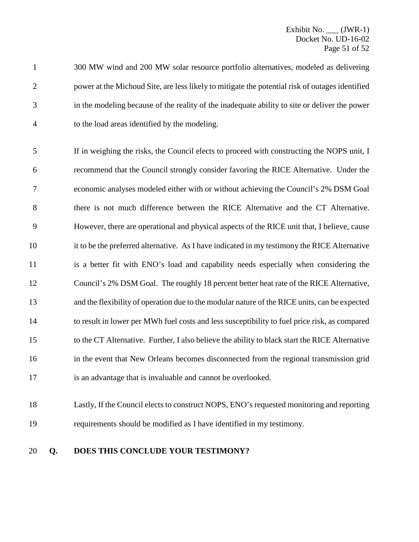300 MW wind and 200 MW solar resource portfolio alternatives, modeled as delivering power at the Michoud Site, are less likely to mitigate the potential risk of outages identified in the modeling because of the reality of the inadequate ability to site or deliver the power to the load areas identified by the modeling.

 If in weighing the risks, the Council elects to proceed with constructing the NOPS unit, I recommend that the Council strongly consider favoring the RICE Alternative. Under the economic analyses modeled either with or without achieving the Council's 2% DSM Goal there is not much difference between the RICE Alternative and the CT Alternative. However, there are operational and physical aspects of the RICE unit that, I believe, cause it to be the preferred alternative. As I have indicated in my testimony the RICE Alternative 11 is a better fit with ENO's load and capability needs especially when considering the Council's 2% DSM Goal. The roughly 18 percent better heat rate of the RICE Alternative, and the flexibility of operation due to the modular nature of the RICE units, can be expected to result in lower per MWh fuel costs and less susceptibility to fuel price risk, as compared to the CT Alternative. Further, I also believe the ability to black start the RICE Alternative in the event that New Orleans becomes disconnected from the regional transmission grid is an advantage that is invaluable and cannot be overlooked.

### Lastly, If the Council elects to construct NOPS, ENO's requested monitoring and reporting requirements should be modified as I have identified in my testimony.

### **Q. DOES THIS CONCLUDE YOUR TESTIMONY?**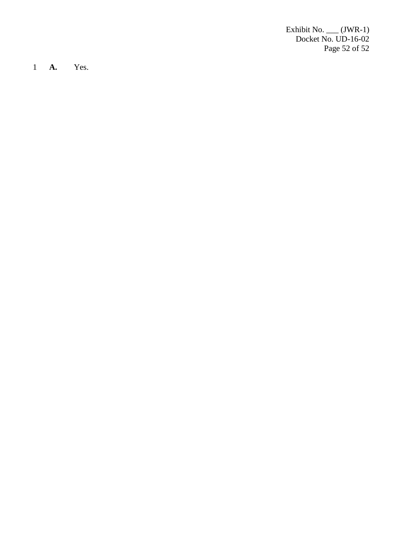Exhibit No. \_\_\_ (JWR -1) Docket No. UD-16-02 Page 52 of 5 2

1 **A.** Yes.